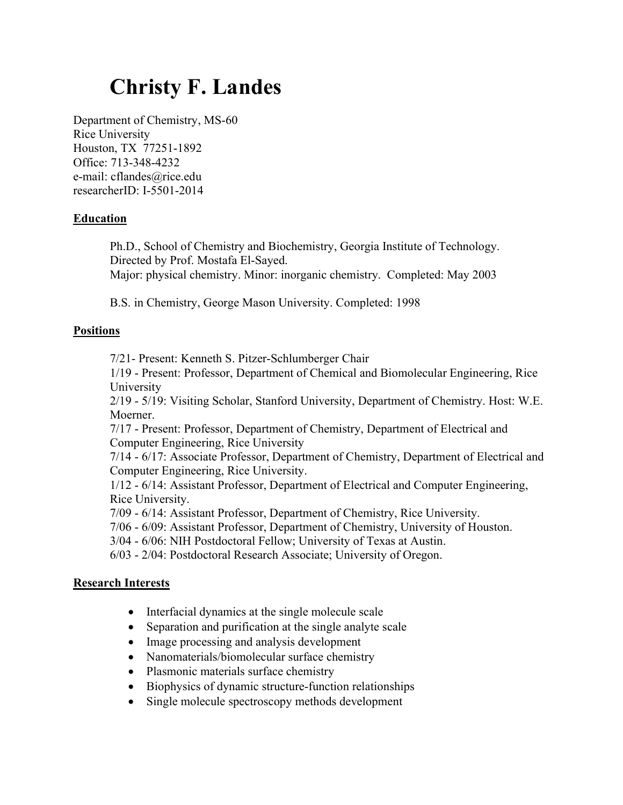# Christy F. Landes

Department of Chemistry, MS-60 Rice University Houston, TX 77251-1892 Office: 713-348-4232 e-mail: cflandes@rice.edu researcherID: I-5501-2014

### Education

Ph.D., School of Chemistry and Biochemistry, Georgia Institute of Technology. Directed by Prof. Mostafa El-Sayed. Major: physical chemistry. Minor: inorganic chemistry. Completed: May 2003

B.S. in Chemistry, George Mason University. Completed: 1998

## **Positions**

7/21- Present: Kenneth S. Pitzer-Schlumberger Chair

1/19 - Present: Professor, Department of Chemical and Biomolecular Engineering, Rice University

2/19 - 5/19: Visiting Scholar, Stanford University, Department of Chemistry. Host: W.E. Moerner.

7/17 - Present: Professor, Department of Chemistry, Department of Electrical and Computer Engineering, Rice University

7/14 - 6/17: Associate Professor, Department of Chemistry, Department of Electrical and Computer Engineering, Rice University.

1/12 - 6/14: Assistant Professor, Department of Electrical and Computer Engineering, Rice University.

7/09 - 6/14: Assistant Professor, Department of Chemistry, Rice University.

7/06 - 6/09: Assistant Professor, Department of Chemistry, University of Houston.

3/04 - 6/06: NIH Postdoctoral Fellow; University of Texas at Austin.

6/03 - 2/04: Postdoctoral Research Associate; University of Oregon.

### Research Interests

- Interfacial dynamics at the single molecule scale
- Separation and purification at the single analyte scale
- Image processing and analysis development
- Nanomaterials/biomolecular surface chemistry
- Plasmonic materials surface chemistry
- Biophysics of dynamic structure-function relationships
- Single molecule spectroscopy methods development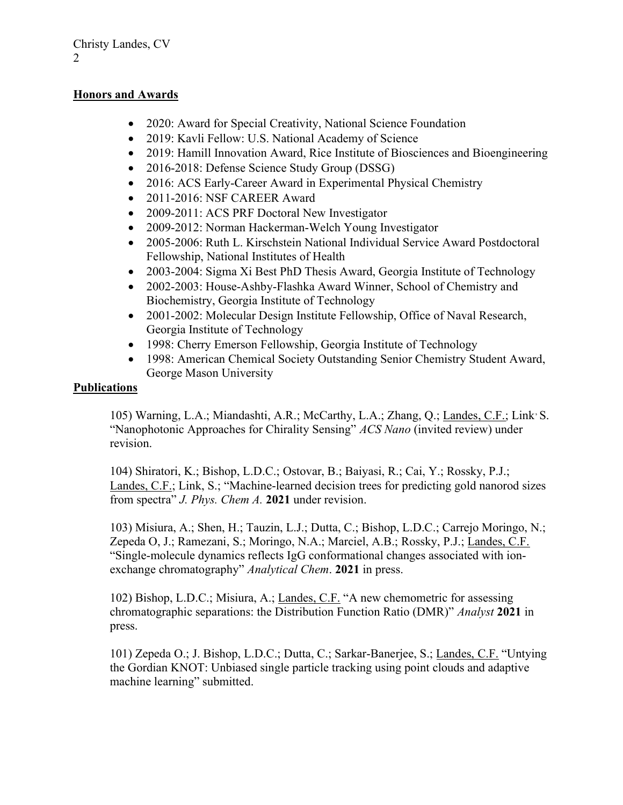## Honors and Awards

- 2020: Award for Special Creativity, National Science Foundation
- 2019: Kavli Fellow: U.S. National Academy of Science
- 2019: Hamill Innovation Award, Rice Institute of Biosciences and Bioengineering
- 2016-2018: Defense Science Study Group (DSSG)
- 2016: ACS Early-Career Award in Experimental Physical Chemistry
- 2011-2016: NSF CAREER Award
- 2009-2011: ACS PRF Doctoral New Investigator
- 2009-2012: Norman Hackerman-Welch Young Investigator
- 2005-2006: Ruth L. Kirschstein National Individual Service Award Postdoctoral Fellowship, National Institutes of Health
- 2003-2004: Sigma Xi Best PhD Thesis Award, Georgia Institute of Technology
- 2002-2003: House-Ashby-Flashka Award Winner, School of Chemistry and Biochemistry, Georgia Institute of Technology
- 2001-2002: Molecular Design Institute Fellowship, Office of Naval Research, Georgia Institute of Technology
- 1998: Cherry Emerson Fellowship, Georgia Institute of Technology
- 1998: American Chemical Society Outstanding Senior Chemistry Student Award, George Mason University

## **Publications**

105) Warning, L.A.; Miandashti, A.R.; McCarthy, L.A.; Zhang, Q.; Landes, C.F.; Link, S. "Nanophotonic Approaches for Chirality Sensing" ACS Nano (invited review) under revision.

104) Shiratori, K.; Bishop, L.D.C.; Ostovar, B.; Baiyasi, R.; Cai, Y.; Rossky, P.J.; Landes, C.F.; Link, S.; "Machine-learned decision trees for predicting gold nanorod sizes from spectra" *J. Phys. Chem A.* 2021 under revision.

103) Misiura, A.; Shen, H.; Tauzin, L.J.; Dutta, C.; Bishop, L.D.C.; Carrejo Moringo, N.; Zepeda O, J.; Ramezani, S.; Moringo, N.A.; Marciel, A.B.; Rossky, P.J.; Landes, C.F. "Single-molecule dynamics reflects IgG conformational changes associated with ionexchange chromatography" Analytical Chem. 2021 in press.

102) Bishop, L.D.C.; Misiura, A.; Landes, C.F. "A new chemometric for assessing chromatographic separations: the Distribution Function Ratio (DMR)" Analyst 2021 in press.

101) Zepeda O.; J. Bishop, L.D.C.; Dutta, C.; Sarkar-Banerjee, S.; Landes, C.F. "Untying the Gordian KNOT: Unbiased single particle tracking using point clouds and adaptive machine learning" submitted.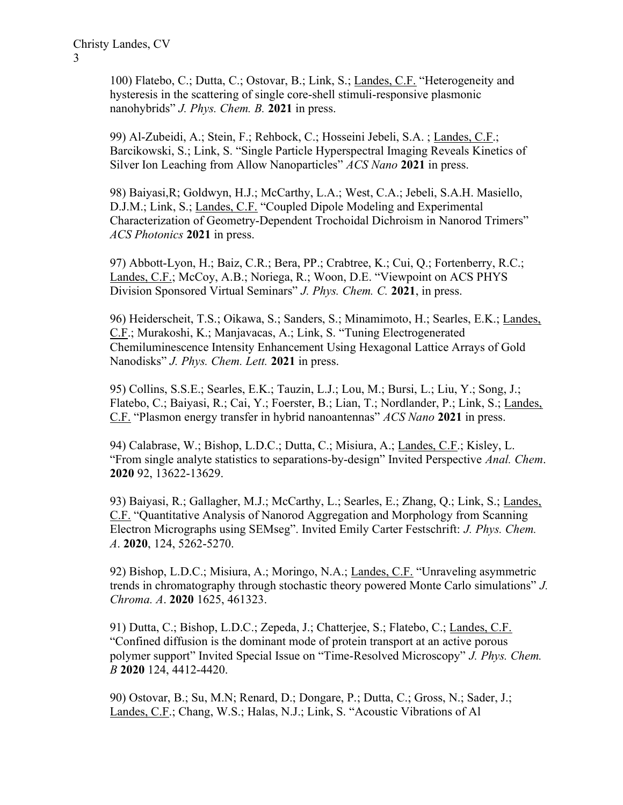100) Flatebo, C.; Dutta, C.; Ostovar, B.; Link, S.; Landes, C.F. "Heterogeneity and hysteresis in the scattering of single core-shell stimuli-responsive plasmonic nanohybrids" *J. Phys. Chem. B.* 2021 in press.

99) Al-Zubeidi, A.; Stein, F.; Rehbock, C.; Hosseini Jebeli, S.A. ; Landes, C.F.; Barcikowski, S.; Link, S. "Single Particle Hyperspectral Imaging Reveals Kinetics of Silver Ion Leaching from Allow Nanoparticles" ACS Nano 2021 in press.

98) Baiyasi,R; Goldwyn, H.J.; McCarthy, L.A.; West, C.A.; Jebeli, S.A.H. Masiello, D.J.M.; Link, S.; Landes, C.F. "Coupled Dipole Modeling and Experimental Characterization of Geometry-Dependent Trochoidal Dichroism in Nanorod Trimers" ACS Photonics 2021 in press.

97) Abbott-Lyon, H.; Baiz, C.R.; Bera, PP.; Crabtree, K.; Cui, Q.; Fortenberry, R.C.; Landes, C.F.; McCoy, A.B.; Noriega, R.; Woon, D.E. "Viewpoint on ACS PHYS Division Sponsored Virtual Seminars" J. Phys. Chem. C. 2021, in press.

96) Heiderscheit, T.S.; Oikawa, S.; Sanders, S.; Minamimoto, H.; Searles, E.K.; Landes, C.F.; Murakoshi, K.; Manjavacas, A.; Link, S. "Tuning Electrogenerated Chemiluminescence Intensity Enhancement Using Hexagonal Lattice Arrays of Gold Nanodisks" *J. Phys. Chem. Lett.* 2021 in press.

95) Collins, S.S.E.; Searles, E.K.; Tauzin, L.J.; Lou, M.; Bursi, L.; Liu, Y.; Song, J.; Flatebo, C.; Baiyasi, R.; Cai, Y.; Foerster, B.; Lian, T.; Nordlander, P.; Link, S.; Landes, C.F. "Plasmon energy transfer in hybrid nanoantennas" ACS Nano 2021 in press.

94) Calabrase, W.; Bishop, L.D.C.; Dutta, C.; Misiura, A.; Landes, C.F.; Kisley, L. "From single analyte statistics to separations-by-design" Invited Perspective Anal. Chem. 2020 92, 13622-13629.

93) Baiyasi, R.; Gallagher, M.J.; McCarthy, L.; Searles, E.; Zhang, Q.; Link, S.; Landes, C.F. "Quantitative Analysis of Nanorod Aggregation and Morphology from Scanning Electron Micrographs using SEMseg". Invited Emily Carter Festschrift: J. Phys. Chem. A. 2020, 124, 5262-5270.

92) Bishop, L.D.C.; Misiura, A.; Moringo, N.A.; Landes, C.F. "Unraveling asymmetric trends in chromatography through stochastic theory powered Monte Carlo simulations" J. Chroma. A. 2020 1625, 461323.

91) Dutta, C.; Bishop, L.D.C.; Zepeda, J.; Chatterjee, S.; Flatebo, C.; Landes, C.F. "Confined diffusion is the dominant mode of protein transport at an active porous polymer support" Invited Special Issue on "Time-Resolved Microscopy" J. Phys. Chem. B 2020 124, 4412-4420.

90) Ostovar, B.; Su, M.N; Renard, D.; Dongare, P.; Dutta, C.; Gross, N.; Sader, J.; Landes, C.F.; Chang, W.S.; Halas, N.J.; Link, S. "Acoustic Vibrations of Al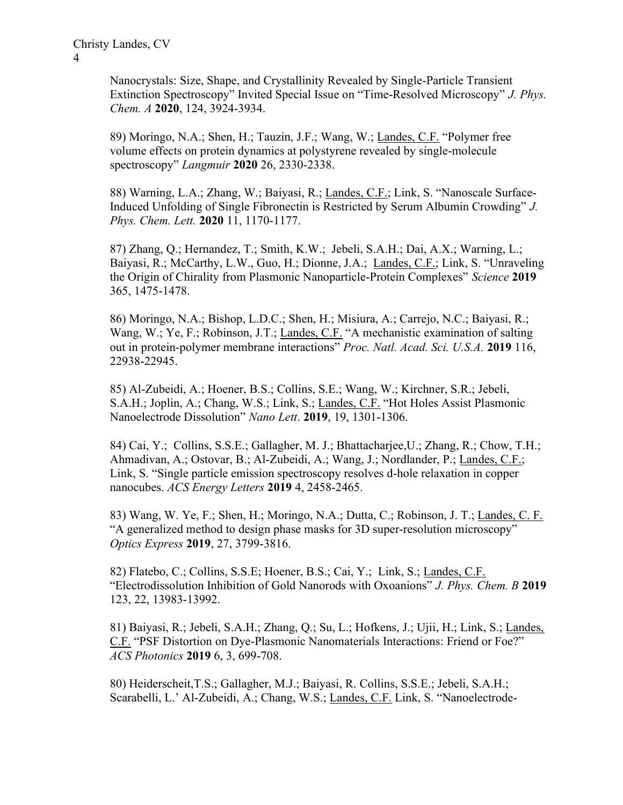Nanocrystals: Size, Shape, and Crystallinity Revealed by Single-Particle Transient Extinction Spectroscopy" Invited Special Issue on "Time-Resolved Microscopy" J. Phys. Chem. A 2020, 124, 3924-3934.

89) Moringo, N.A.; Shen, H.; Tauzin, J.F.; Wang, W.; Landes, C.F. "Polymer free volume effects on protein dynamics at polystyrene revealed by single-molecule spectroscopy" Langmuir 2020 26, 2330-2338.

88) Warning, L.A.; Zhang, W.; Baiyasi, R.; Landes, C.F.; Link, S. "Nanoscale Surface-Induced Unfolding of Single Fibronectin is Restricted by Serum Albumin Crowding" J. Phys. Chem. Lett. 2020 11, 1170-1177.

87) Zhang, Q.; Hernandez, T.; Smith, K.W.; Jebeli, S.A.H.; Dai, A.X.; Warning, L.; Baiyasi, R.; McCarthy, L.W., Guo, H.; Dionne, J.A.; Landes, C.F.; Link, S. "Unraveling the Origin of Chirality from Plasmonic Nanoparticle-Protein Complexes" Science 2019 365, 1475-1478.

86) Moringo, N.A.; Bishop, L.D.C.; Shen, H.; Misiura, A.; Carrejo, N.C.; Baiyasi, R.; Wang, W.; Ye, F.; Robinson, J.T.; Landes, C.F. "A mechanistic examination of salting out in protein-polymer membrane interactions" Proc. Natl. Acad. Sci. U.S.A. 2019 116, 22938-22945.

 85) Al-Zubeidi, A.; Hoener, B.S.; Collins, S.E.; Wang, W.; Kirchner, S.R.; Jebeli, S.A.H.; Joplin, A.; Chang, W.S.; Link, S.; Landes, C.F. "Hot Holes Assist Plasmonic Nanoelectrode Dissolution" Nano Lett. 2019, 19, 1301-1306.

 84) Cai, Y.; Collins, S.S.E.; Gallagher, M. J.; Bhattacharjee,U.; Zhang, R.; Chow, T.H.; Ahmadivan, A.; Ostovar, B.; Al-Zubeidi, A.; Wang, J.; Nordlander, P.; Landes, C.F.; Link, S. "Single particle emission spectroscopy resolves d-hole relaxation in copper nanocubes. ACS Energy Letters 2019 4, 2458-2465.

 83) Wang, W. Ye, F.; Shen, H.; Moringo, N.A.; Dutta, C.; Robinson, J. T.; Landes, C. F. "A generalized method to design phase masks for 3D super-resolution microscopy" Optics Express 2019, 27, 3799-3816.

 82) Flatebo, C.; Collins, S.S.E; Hoener, B.S.; Cai, Y.; Link, S.; Landes, C.F. "Electrodissolution Inhibition of Gold Nanorods with Oxoanions" J. Phys. Chem. B 2019 123, 22, 13983-13992.

 81) Baiyasi, R.; Jebeli, S.A.H.; Zhang, Q.; Su, L.; Hofkens, J.; Ujii, H.; Link, S.; Landes, C.F. "PSF Distortion on Dye-Plasmonic Nanomaterials Interactions: Friend or Foe?" ACS Photonics 2019 6, 3, 699-708.

 80) Heiderscheit,T.S.; Gallagher, M.J.; Baiyasi, R. Collins, S.S.E.; Jebeli, S.A.H.; Scarabelli, L.' Al-Zubeidi, A.; Chang, W.S.; Landes, C.F. Link, S. "Nanoelectrode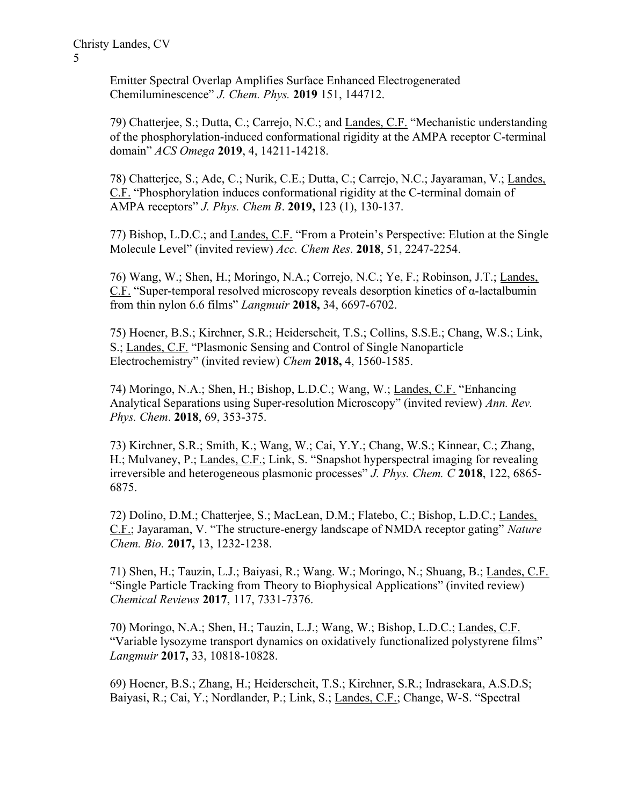Emitter Spectral Overlap Amplifies Surface Enhanced Electrogenerated Chemiluminescence" J. Chem. Phys. 2019 151, 144712.

 79) Chatterjee, S.; Dutta, C.; Carrejo, N.C.; and Landes, C.F. "Mechanistic understanding of the phosphorylation-induced conformational rigidity at the AMPA receptor C-terminal domain" ACS Omega 2019, 4, 14211-14218.

78) Chatterjee, S.; Ade, C.; Nurik, C.E.; Dutta, C.; Carrejo, N.C.; Jayaraman, V.; Landes, C.F. "Phosphorylation induces conformational rigidity at the C-terminal domain of AMPA receptors" J. Phys. Chem B. 2019, 123 (1), 130-137.

77) Bishop, L.D.C.; and Landes, C.F. "From a Protein's Perspective: Elution at the Single Molecule Level" (invited review) Acc. Chem Res. 2018, 51, 2247-2254.

76) Wang, W.; Shen, H.; Moringo, N.A.; Correjo, N.C.; Ye, F.; Robinson, J.T.; Landes, C.F. "Super-temporal resolved microscopy reveals desorption kinetics of α-lactalbumin from thin nylon 6.6 films" Langmuir 2018, 34, 6697-6702.

75) Hoener, B.S.; Kirchner, S.R.; Heiderscheit, T.S.; Collins, S.S.E.; Chang, W.S.; Link, S.; Landes, C.F. "Plasmonic Sensing and Control of Single Nanoparticle Electrochemistry" (invited review) Chem 2018, 4, 1560-1585.

74) Moringo, N.A.; Shen, H.; Bishop, L.D.C.; Wang, W.; Landes, C.F. "Enhancing Analytical Separations using Super-resolution Microscopy" (invited review) Ann. Rev. Phys. Chem. 2018, 69, 353-375.

73) Kirchner, S.R.; Smith, K.; Wang, W.; Cai, Y.Y.; Chang, W.S.; Kinnear, C.; Zhang, H.; Mulvaney, P.; Landes, C.F.; Link, S. "Snapshot hyperspectral imaging for revealing irreversible and heterogeneous plasmonic processes" J. Phys. Chem. C 2018, 122, 6865- 6875.

72) Dolino, D.M.; Chatterjee, S.; MacLean, D.M.; Flatebo, C.; Bishop, L.D.C.; Landes, C.F.; Jayaraman, V. "The structure-energy landscape of NMDA receptor gating" Nature Chem. Bio. 2017, 13, 1232-1238.

71) Shen, H.; Tauzin, L.J.; Baiyasi, R.; Wang. W.; Moringo, N.; Shuang, B.; Landes, C.F. "Single Particle Tracking from Theory to Biophysical Applications" (invited review) Chemical Reviews 2017, 117, 7331-7376.

70) Moringo, N.A.; Shen, H.; Tauzin, L.J.; Wang, W.; Bishop, L.D.C.; Landes, C.F. "Variable lysozyme transport dynamics on oxidatively functionalized polystyrene films" Langmuir 2017, 33, 10818-10828.

69) Hoener, B.S.; Zhang, H.; Heiderscheit, T.S.; Kirchner, S.R.; Indrasekara, A.S.D.S; Baiyasi, R.; Cai, Y.; Nordlander, P.; Link, S.; Landes, C.F.; Change, W-S. "Spectral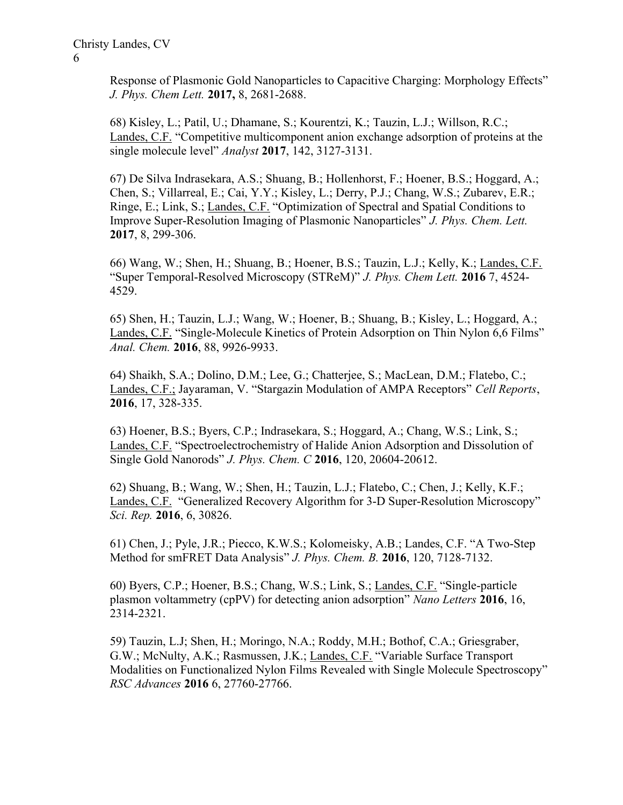Response of Plasmonic Gold Nanoparticles to Capacitive Charging: Morphology Effects" J. Phys. Chem Lett. 2017, 8, 2681-2688.

68) Kisley, L.; Patil, U.; Dhamane, S.; Kourentzi, K.; Tauzin, L.J.; Willson, R.C.; Landes, C.F. "Competitive multicomponent anion exchange adsorption of proteins at the single molecule level" Analyst 2017, 142, 3127-3131.

67) De Silva Indrasekara, A.S.; Shuang, B.; Hollenhorst, F.; Hoener, B.S.; Hoggard, A.; Chen, S.; Villarreal, E.; Cai, Y.Y.; Kisley, L.; Derry, P.J.; Chang, W.S.; Zubarev, E.R.; Ringe, E.; Link, S.; Landes, C.F. "Optimization of Spectral and Spatial Conditions to Improve Super-Resolution Imaging of Plasmonic Nanoparticles" J. Phys. Chem. Lett. 2017, 8, 299-306.

66) Wang, W.; Shen, H.; Shuang, B.; Hoener, B.S.; Tauzin, L.J.; Kelly, K.; Landes, C.F. "Super Temporal-Resolved Microscopy (STReM)" J. Phys. Chem Lett. 2016 7, 4524- 4529.

65) Shen, H.; Tauzin, L.J.; Wang, W.; Hoener, B.; Shuang, B.; Kisley, L.; Hoggard, A.; Landes, C.F. "Single-Molecule Kinetics of Protein Adsorption on Thin Nylon 6,6 Films" Anal. Chem. 2016, 88, 9926-9933.

64) Shaikh, S.A.; Dolino, D.M.; Lee, G.; Chatterjee, S.; MacLean, D.M.; Flatebo, C.; Landes, C.F.; Jayaraman, V. "Stargazin Modulation of AMPA Receptors" Cell Reports, 2016, 17, 328-335.

63) Hoener, B.S.; Byers, C.P.; Indrasekara, S.; Hoggard, A.; Chang, W.S.; Link, S.; Landes, C.F. "Spectroelectrochemistry of Halide Anion Adsorption and Dissolution of Single Gold Nanorods" J. Phys. Chem. C 2016, 120, 20604-20612.

62) Shuang, B.; Wang, W.; Shen, H.; Tauzin, L.J.; Flatebo, C.; Chen, J.; Kelly, K.F.; Landes, C.F. "Generalized Recovery Algorithm for 3-D Super-Resolution Microscopy" Sci. Rep. 2016, 6, 30826.

61) Chen, J.; Pyle, J.R.; Piecco, K.W.S.; Kolomeisky, A.B.; Landes, C.F. "A Two-Step Method for smFRET Data Analysis" J. Phys. Chem. B. 2016, 120, 7128-7132.

60) Byers, C.P.; Hoener, B.S.; Chang, W.S.; Link, S.; Landes, C.F. "Single-particle plasmon voltammetry (cpPV) for detecting anion adsorption" Nano Letters 2016, 16, 2314-2321.

59) Tauzin, L.J; Shen, H.; Moringo, N.A.; Roddy, M.H.; Bothof, C.A.; Griesgraber, G.W.; McNulty, A.K.; Rasmussen, J.K.; Landes, C.F. "Variable Surface Transport Modalities on Functionalized Nylon Films Revealed with Single Molecule Spectroscopy" RSC Advances 2016 6, 27760-27766.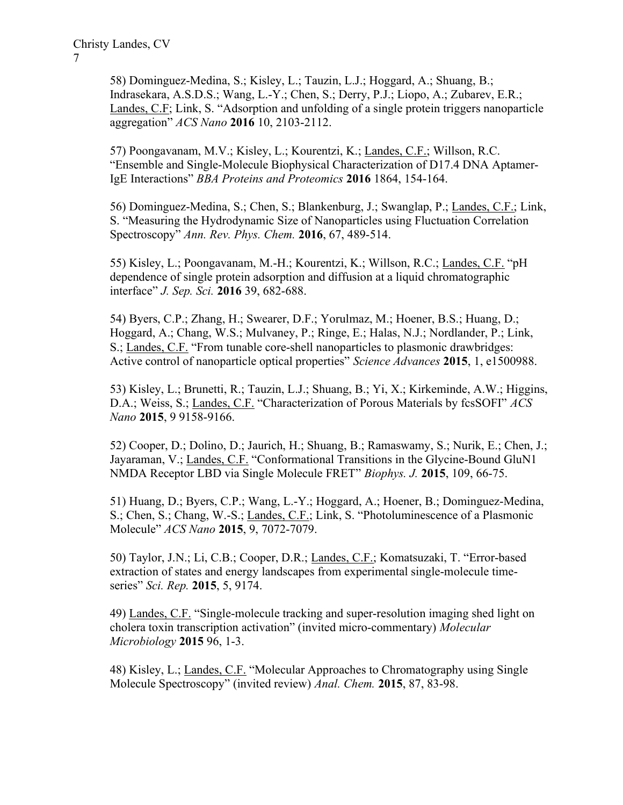58) Dominguez-Medina, S.; Kisley, L.; Tauzin, L.J.; Hoggard, A.; Shuang, B.; Indrasekara, A.S.D.S.; Wang, L.-Y.; Chen, S.; Derry, P.J.; Liopo, A.; Zubarev, E.R.; Landes, C.F; Link, S. "Adsorption and unfolding of a single protein triggers nanoparticle aggregation" ACS Nano 2016 10, 2103-2112.

57) Poongavanam, M.V.; Kisley, L.; Kourentzi, K.; Landes, C.F.; Willson, R.C. "Ensemble and Single-Molecule Biophysical Characterization of D17.4 DNA Aptamer-IgE Interactions" BBA Proteins and Proteomics 2016 1864, 154-164.

56) Dominguez-Medina, S.; Chen, S.; Blankenburg, J.; Swanglap, P.; Landes, C.F.; Link, S. "Measuring the Hydrodynamic Size of Nanoparticles using Fluctuation Correlation Spectroscopy" Ann. Rev. Phys. Chem. 2016, 67, 489-514.

55) Kisley, L.; Poongavanam, M.-H.; Kourentzi, K.; Willson, R.C.; Landes, C.F. "pH dependence of single protein adsorption and diffusion at a liquid chromatographic interface" J. Sep. Sci. 2016 39, 682-688.

54) Byers, C.P.; Zhang, H.; Swearer, D.F.; Yorulmaz, M.; Hoener, B.S.; Huang, D.; Hoggard, A.; Chang, W.S.; Mulvaney, P.; Ringe, E.; Halas, N.J.; Nordlander, P.; Link, S.; Landes, C.F. "From tunable core-shell nanoparticles to plasmonic drawbridges: Active control of nanoparticle optical properties" Science Advances 2015, 1, e1500988.

53) Kisley, L.; Brunetti, R.; Tauzin, L.J.; Shuang, B.; Yi, X.; Kirkeminde, A.W.; Higgins, D.A.; Weiss, S.; Landes, C.F. "Characterization of Porous Materials by fcsSOFI" ACS Nano 2015, 9 9158-9166.

52) Cooper, D.; Dolino, D.; Jaurich, H.; Shuang, B.; Ramaswamy, S.; Nurik, E.; Chen, J.; Jayaraman, V.; Landes, C.F. "Conformational Transitions in the Glycine-Bound GluN1 NMDA Receptor LBD via Single Molecule FRET" Biophys. J. 2015, 109, 66-75.

51) Huang, D.; Byers, C.P.; Wang, L.-Y.; Hoggard, A.; Hoener, B.; Dominguez-Medina, S.; Chen, S.; Chang, W.-S.; Landes, C.F.; Link, S. "Photoluminescence of a Plasmonic Molecule" ACS Nano 2015, 9, 7072-7079.

50) Taylor, J.N.; Li, C.B.; Cooper, D.R.; Landes, C.F.; Komatsuzaki, T. "Error-based extraction of states and energy landscapes from experimental single-molecule timeseries" Sci. Rep. 2015, 5, 9174.

49) Landes, C.F. "Single-molecule tracking and super-resolution imaging shed light on cholera toxin transcription activation" (invited micro-commentary) Molecular Microbiology 2015 96, 1-3.

48) Kisley, L.; Landes, C.F. "Molecular Approaches to Chromatography using Single Molecule Spectroscopy" (invited review) Anal. Chem. 2015, 87, 83-98.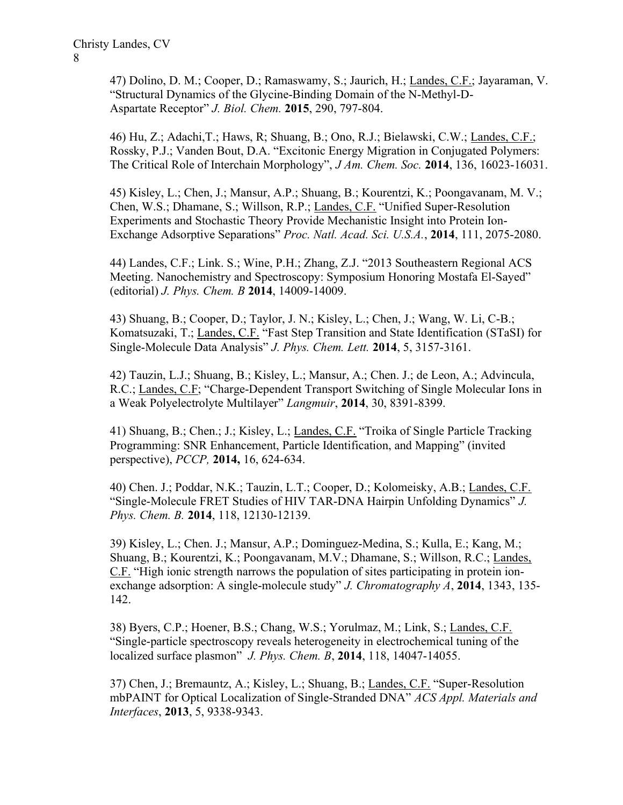47) Dolino, D. M.; Cooper, D.; Ramaswamy, S.; Jaurich, H.; Landes, C.F.; Jayaraman, V. "Structural Dynamics of the Glycine-Binding Domain of the N-Methyl-D-Aspartate Receptor" J. Biol. Chem. 2015, 290, 797-804.

46) Hu, Z.; Adachi,T.; Haws, R; Shuang, B.; Ono, R.J.; Bielawski, C.W.; Landes, C.F.; Rossky, P.J.; Vanden Bout, D.A. "Excitonic Energy Migration in Conjugated Polymers: The Critical Role of Interchain Morphology", J Am. Chem. Soc. 2014, 136, 16023-16031.

45) Kisley, L.; Chen, J.; Mansur, A.P.; Shuang, B.; Kourentzi, K.; Poongavanam, M. V.; Chen, W.S.; Dhamane, S.; Willson, R.P.; Landes, C.F. "Unified Super-Resolution Experiments and Stochastic Theory Provide Mechanistic Insight into Protein Ion-Exchange Adsorptive Separations" Proc. Natl. Acad. Sci. U.S.A., 2014, 111, 2075-2080.

44) Landes, C.F.; Link. S.; Wine, P.H.; Zhang, Z.J. "2013 Southeastern Regional ACS Meeting. Nanochemistry and Spectroscopy: Symposium Honoring Mostafa El-Sayed" (editorial) J. Phys. Chem. B 2014, 14009-14009.

43) Shuang, B.; Cooper, D.; Taylor, J. N.; Kisley, L.; Chen, J.; Wang, W. Li, C-B.; Komatsuzaki, T.; Landes, C.F. "Fast Step Transition and State Identification (STaSI) for Single-Molecule Data Analysis" J. Phys. Chem. Lett. 2014, 5, 3157-3161.

42) Tauzin, L.J.; Shuang, B.; Kisley, L.; Mansur, A.; Chen. J.; de Leon, A.; Advincula, R.C.; Landes, C.F; "Charge-Dependent Transport Switching of Single Molecular Ions in a Weak Polyelectrolyte Multilayer" Langmuir, 2014, 30, 8391-8399.

41) Shuang, B.; Chen.; J.; Kisley, L.; Landes, C.F. "Troika of Single Particle Tracking Programming: SNR Enhancement, Particle Identification, and Mapping" (invited perspective), PCCP, 2014, 16, 624-634.

40) Chen. J.; Poddar, N.K.; Tauzin, L.T.; Cooper, D.; Kolomeisky, A.B.; Landes, C.F. "Single-Molecule FRET Studies of HIV TAR-DNA Hairpin Unfolding Dynamics" J. Phys. Chem. B. 2014, 118, 12130-12139.

39) Kisley, L.; Chen. J.; Mansur, A.P.; Dominguez-Medina, S.; Kulla, E.; Kang, M.; Shuang, B.; Kourentzi, K.; Poongavanam, M.V.; Dhamane, S.; Willson, R.C.; Landes, C.F. "High ionic strength narrows the population of sites participating in protein ionexchange adsorption: A single-molecule study" *J. Chromatography A*, 2014, 1343, 135-142.

38) Byers, C.P.; Hoener, B.S.; Chang, W.S.; Yorulmaz, M.; Link, S.; Landes, C.F. "Single-particle spectroscopy reveals heterogeneity in electrochemical tuning of the localized surface plasmon" J. Phys. Chem. B, 2014, 118, 14047-14055.

37) Chen, J.; Bremauntz, A.; Kisley, L.; Shuang, B.; Landes, C.F. "Super-Resolution mbPAINT for Optical Localization of Single-Stranded DNA" ACS Appl. Materials and Interfaces, 2013, 5, 9338-9343.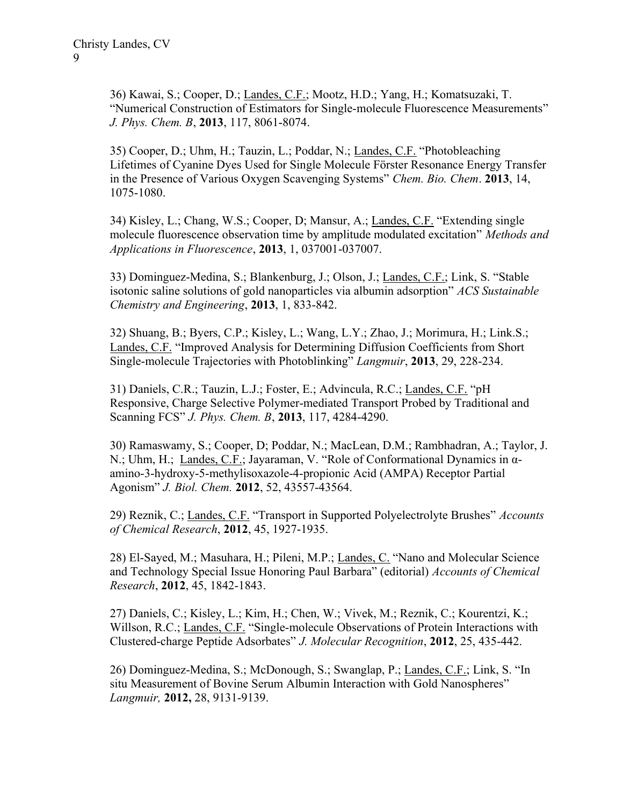36) Kawai, S.; Cooper, D.; Landes, C.F.; Mootz, H.D.; Yang, H.; Komatsuzaki, T. "Numerical Construction of Estimators for Single-molecule Fluorescence Measurements" J. Phys. Chem. B, 2013, 117, 8061-8074.

35) Cooper, D.; Uhm, H.; Tauzin, L.; Poddar, N.; Landes, C.F. "Photobleaching Lifetimes of Cyanine Dyes Used for Single Molecule Förster Resonance Energy Transfer in the Presence of Various Oxygen Scavenging Systems" Chem. Bio. Chem. 2013, 14, 1075-1080.

34) Kisley, L.; Chang, W.S.; Cooper, D; Mansur, A.; Landes, C.F. "Extending single molecule fluorescence observation time by amplitude modulated excitation" Methods and Applications in Fluorescence, 2013, 1, 037001-037007.

33) Dominguez-Medina, S.; Blankenburg, J.; Olson, J.; Landes, C.F.; Link, S. "Stable isotonic saline solutions of gold nanoparticles via albumin adsorption" ACS Sustainable Chemistry and Engineering, 2013, 1, 833-842.

32) Shuang, B.; Byers, C.P.; Kisley, L.; Wang, L.Y.; Zhao, J.; Morimura, H.; Link.S.; Landes, C.F. "Improved Analysis for Determining Diffusion Coefficients from Short Single-molecule Trajectories with Photoblinking" Langmuir, 2013, 29, 228-234.

31) Daniels, C.R.; Tauzin, L.J.; Foster, E.; Advincula, R.C.; Landes, C.F. "pH Responsive, Charge Selective Polymer-mediated Transport Probed by Traditional and Scanning FCS" *J. Phys. Chem. B*, 2013, 117, 4284-4290.

30) Ramaswamy, S.; Cooper, D; Poddar, N.; MacLean, D.M.; Rambhadran, A.; Taylor, J. N.; Uhm, H.; Landes, C.F.; Jayaraman, V. "Role of Conformational Dynamics in αamino-3-hydroxy-5-methylisoxazole-4-propionic Acid (AMPA) Receptor Partial Agonism" J. Biol. Chem. 2012, 52, 43557-43564.

29) Reznik, C.; Landes, C.F. "Transport in Supported Polyelectrolyte Brushes" Accounts of Chemical Research, 2012, 45, 1927-1935.

28) El-Sayed, M.; Masuhara, H.; Pileni, M.P.; Landes, C. "Nano and Molecular Science and Technology Special Issue Honoring Paul Barbara" (editorial) Accounts of Chemical Research, 2012, 45, 1842-1843.

27) Daniels, C.; Kisley, L.; Kim, H.; Chen, W.; Vivek, M.; Reznik, C.; Kourentzi, K.; Willson, R.C.; Landes, C.F. "Single-molecule Observations of Protein Interactions with Clustered-charge Peptide Adsorbates" J. Molecular Recognition, 2012, 25, 435-442.

26) Dominguez-Medina, S.; McDonough, S.; Swanglap, P.; Landes, C.F.; Link, S. "In situ Measurement of Bovine Serum Albumin Interaction with Gold Nanospheres" Langmuir, 2012, 28, 9131-9139.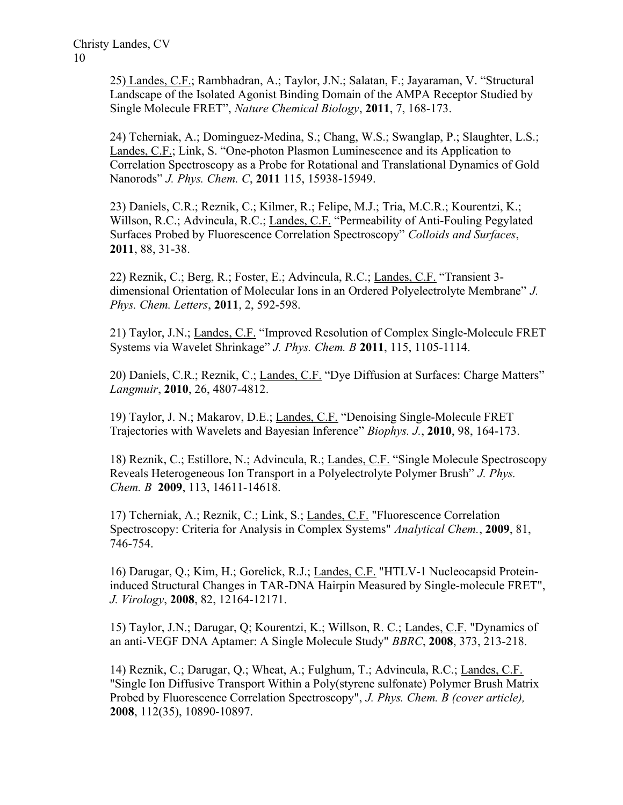25) Landes, C.F.; Rambhadran, A.; Taylor, J.N.; Salatan, F.; Jayaraman, V. "Structural Landscape of the Isolated Agonist Binding Domain of the AMPA Receptor Studied by Single Molecule FRET", Nature Chemical Biology, 2011, 7, 168-173.

24) Tcherniak, A.; Dominguez-Medina, S.; Chang, W.S.; Swanglap, P.; Slaughter, L.S.; Landes, C.F.; Link, S. "One-photon Plasmon Luminescence and its Application to Correlation Spectroscopy as a Probe for Rotational and Translational Dynamics of Gold Nanorods" J. Phys. Chem. C, 2011 115, 15938-15949.

23) Daniels, C.R.; Reznik, C.; Kilmer, R.; Felipe, M.J.; Tria, M.C.R.; Kourentzi, K.; Willson, R.C.; Advincula, R.C.; Landes, C.F. "Permeability of Anti-Fouling Pegylated Surfaces Probed by Fluorescence Correlation Spectroscopy" Colloids and Surfaces, 2011, 88, 31-38.

22) Reznik, C.; Berg, R.; Foster, E.; Advincula, R.C.; Landes, C.F. "Transient 3 dimensional Orientation of Molecular Ions in an Ordered Polyelectrolyte Membrane" J. Phys. Chem. Letters, 2011, 2, 592-598.

21) Taylor, J.N.; Landes, C.F. "Improved Resolution of Complex Single-Molecule FRET Systems via Wavelet Shrinkage" J. Phys. Chem. B 2011, 115, 1105-1114.

20) Daniels, C.R.; Reznik, C.; Landes, C.F. "Dye Diffusion at Surfaces: Charge Matters" Langmuir, 2010, 26, 4807-4812.

19) Taylor, J. N.; Makarov, D.E.; Landes, C.F. "Denoising Single-Molecule FRET Trajectories with Wavelets and Bayesian Inference" Biophys. J., 2010, 98, 164-173.

18) Reznik, C.; Estillore, N.; Advincula, R.; Landes, C.F. "Single Molecule Spectroscopy Reveals Heterogeneous Ion Transport in a Polyelectrolyte Polymer Brush" J. Phys. Chem. B 2009, 113, 14611-14618.

17) Tcherniak, A.; Reznik, C.; Link, S.; Landes, C.F. "Fluorescence Correlation Spectroscopy: Criteria for Analysis in Complex Systems" Analytical Chem., 2009, 81, 746-754.

16) Darugar, Q.; Kim, H.; Gorelick, R.J.; Landes, C.F. "HTLV-1 Nucleocapsid Proteininduced Structural Changes in TAR-DNA Hairpin Measured by Single-molecule FRET", J. Virology, 2008, 82, 12164-12171.

15) Taylor, J.N.; Darugar, Q; Kourentzi, K.; Willson, R. C.; Landes, C.F. "Dynamics of an anti-VEGF DNA Aptamer: A Single Molecule Study" BBRC, 2008, 373, 213-218.

14) Reznik, C.; Darugar, Q.; Wheat, A.; Fulghum, T.; Advincula, R.C.; Landes, C.F. "Single Ion Diffusive Transport Within a Poly(styrene sulfonate) Polymer Brush Matrix Probed by Fluorescence Correlation Spectroscopy", J. Phys. Chem. B (cover article), 2008, 112(35), 10890-10897.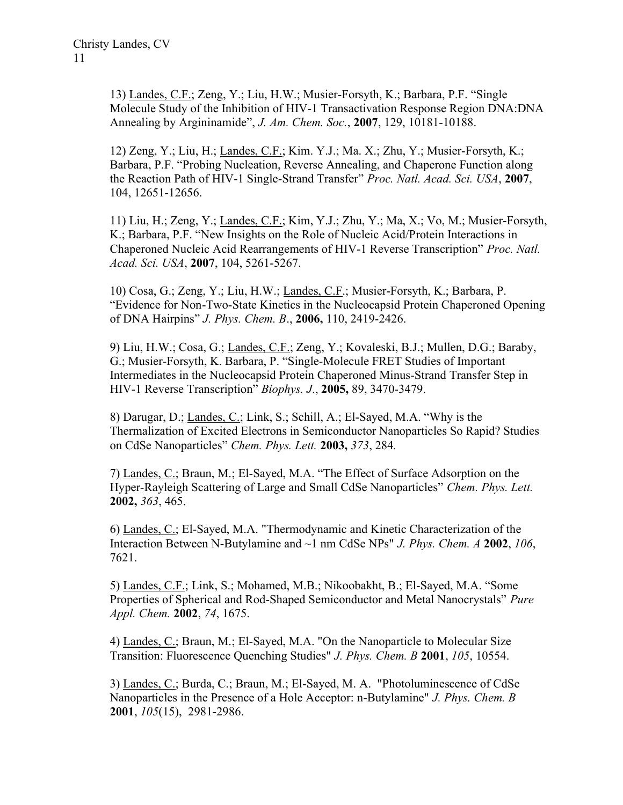13) Landes, C.F.; Zeng, Y.; Liu, H.W.; Musier-Forsyth, K.; Barbara, P.F. "Single Molecule Study of the Inhibition of HIV-1 Transactivation Response Region DNA:DNA Annealing by Argininamide", *J. Am. Chem. Soc.*, **2007**, 129, 10181-10188.

12) Zeng, Y.; Liu, H.; Landes, C.F.; Kim. Y.J.; Ma. X.; Zhu, Y.; Musier-Forsyth, K.; Barbara, P.F. "Probing Nucleation, Reverse Annealing, and Chaperone Function along the Reaction Path of HIV-1 Single-Strand Transfer" Proc. Natl. Acad. Sci. USA, 2007, 104, 12651-12656.

11) Liu, H.; Zeng, Y.; Landes, C.F.; Kim, Y.J.; Zhu, Y.; Ma, X.; Vo, M.; Musier-Forsyth, K.; Barbara, P.F. "New Insights on the Role of Nucleic Acid/Protein Interactions in Chaperoned Nucleic Acid Rearrangements of HIV-1 Reverse Transcription" Proc. Natl. Acad. Sci. USA, 2007, 104, 5261-5267.

10) Cosa, G.; Zeng, Y.; Liu, H.W.; Landes, C.F.; Musier-Forsyth, K.; Barbara, P. "Evidence for Non-Two-State Kinetics in the Nucleocapsid Protein Chaperoned Opening of DNA Hairpins" J. Phys. Chem. B., 2006, 110, 2419-2426.

9) Liu, H.W.; Cosa, G.; Landes, C.F.; Zeng, Y.; Kovaleski, B.J.; Mullen, D.G.; Baraby, G.; Musier-Forsyth, K. Barbara, P. "Single-Molecule FRET Studies of Important Intermediates in the Nucleocapsid Protein Chaperoned Minus-Strand Transfer Step in HIV-1 Reverse Transcription" Biophys. J., 2005, 89, 3470-3479.

8) Darugar, D.; Landes, C.; Link, S.; Schill, A.; El-Sayed, M.A. "Why is the Thermalization of Excited Electrons in Semiconductor Nanoparticles So Rapid? Studies on CdSe Nanoparticles" Chem. Phys. Lett. 2003, 373, 284.

7) Landes, C.; Braun, M.; El-Sayed, M.A. "The Effect of Surface Adsorption on the Hyper-Rayleigh Scattering of Large and Small CdSe Nanoparticles" Chem. Phys. Lett. 2002, 363, 465.

6) Landes, C.; El-Sayed, M.A. "Thermodynamic and Kinetic Characterization of the Interaction Between N-Butylamine and  $\sim$ 1 nm CdSe NPs" *J. Phys. Chem. A* 2002, 106, 7621.

5) Landes, C.F.; Link, S.; Mohamed, M.B.; Nikoobakht, B.; El-Sayed, M.A. "Some Properties of Spherical and Rod-Shaped Semiconductor and Metal Nanocrystals" Pure Appl. Chem. 2002, 74, 1675.

4) Landes, C.; Braun, M.; El-Sayed, M.A. "On the Nanoparticle to Molecular Size Transition: Fluorescence Quenching Studies" J. Phys. Chem. B 2001, 105, 10554.

3) Landes, C.; Burda, C.; Braun, M.; El-Sayed, M. A. "Photoluminescence of CdSe Nanoparticles in the Presence of a Hole Acceptor: n-Butylamine" *J. Phys. Chem. B* 2001, 105(15), 2981-2986.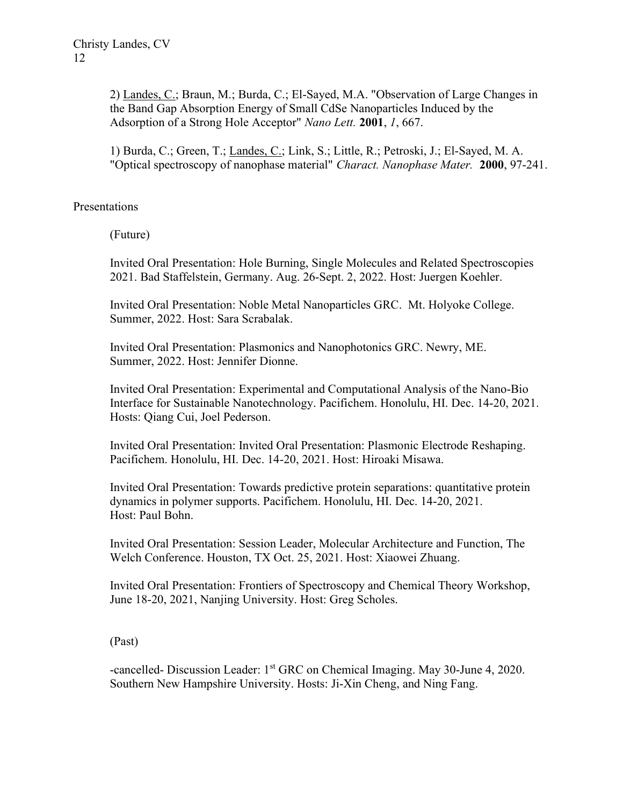2) Landes, C.; Braun, M.; Burda, C.; El-Sayed, M.A. "Observation of Large Changes in the Band Gap Absorption Energy of Small CdSe Nanoparticles Induced by the Adsorption of a Strong Hole Acceptor" Nano Lett. 2001, 1, 667.

1) Burda, C.; Green, T.; Landes, C.; Link, S.; Little, R.; Petroski, J.; El-Sayed, M. A. "Optical spectroscopy of nanophase material" Charact. Nanophase Mater. 2000, 97-241.

## Presentations

(Future)

Invited Oral Presentation: Hole Burning, Single Molecules and Related Spectroscopies 2021. Bad Staffelstein, Germany. Aug. 26-Sept. 2, 2022. Host: Juergen Koehler.

Invited Oral Presentation: Noble Metal Nanoparticles GRC. Mt. Holyoke College. Summer, 2022. Host: Sara Scrabalak.

Invited Oral Presentation: Plasmonics and Nanophotonics GRC. Newry, ME. Summer, 2022. Host: Jennifer Dionne.

Invited Oral Presentation: Experimental and Computational Analysis of the Nano-Bio Interface for Sustainable Nanotechnology. Pacifichem. Honolulu, HI. Dec. 14-20, 2021. Hosts: Qiang Cui, Joel Pederson.

Invited Oral Presentation: Invited Oral Presentation: Plasmonic Electrode Reshaping. Pacifichem. Honolulu, HI. Dec. 14-20, 2021. Host: Hiroaki Misawa.

Invited Oral Presentation: Towards predictive protein separations: quantitative protein dynamics in polymer supports. Pacifichem. Honolulu, HI. Dec. 14-20, 2021. Host: Paul Bohn.

Invited Oral Presentation: Session Leader, Molecular Architecture and Function, The Welch Conference. Houston, TX Oct. 25, 2021. Host: Xiaowei Zhuang.

Invited Oral Presentation: Frontiers of Spectroscopy and Chemical Theory Workshop, June 18-20, 2021, Nanjing University. Host: Greg Scholes.

(Past)

-cancelled- Discussion Leader: 1<sup>st</sup> GRC on Chemical Imaging. May 30-June 4, 2020. Southern New Hampshire University. Hosts: Ji-Xin Cheng, and Ning Fang.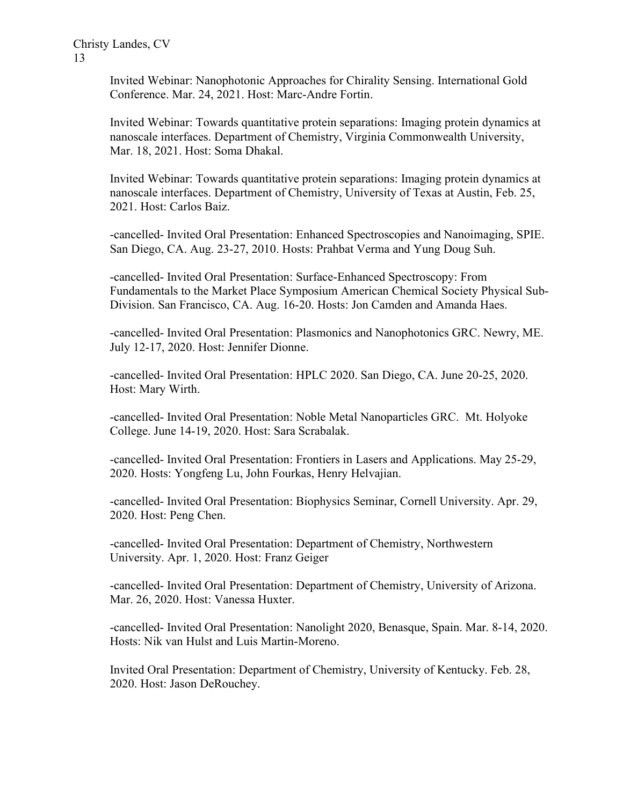Invited Webinar: Nanophotonic Approaches for Chirality Sensing. International Gold Conference. Mar. 24, 2021. Host: Marc-Andre Fortin.

Invited Webinar: Towards quantitative protein separations: Imaging protein dynamics at nanoscale interfaces. Department of Chemistry, Virginia Commonwealth University, Mar. 18, 2021. Host: Soma Dhakal.

Invited Webinar: Towards quantitative protein separations: Imaging protein dynamics at nanoscale interfaces. Department of Chemistry, University of Texas at Austin, Feb. 25, 2021. Host: Carlos Baiz.

-cancelled- Invited Oral Presentation: Enhanced Spectroscopies and Nanoimaging, SPIE. San Diego, CA. Aug. 23-27, 2010. Hosts: Prahbat Verma and Yung Doug Suh.

-cancelled- Invited Oral Presentation: Surface-Enhanced Spectroscopy: From Fundamentals to the Market Place Symposium American Chemical Society Physical Sub-Division. San Francisco, CA. Aug. 16-20. Hosts: Jon Camden and Amanda Haes.

-cancelled- Invited Oral Presentation: Plasmonics and Nanophotonics GRC. Newry, ME. July 12-17, 2020. Host: Jennifer Dionne.

-cancelled- Invited Oral Presentation: HPLC 2020. San Diego, CA. June 20-25, 2020. Host: Mary Wirth.

-cancelled- Invited Oral Presentation: Noble Metal Nanoparticles GRC. Mt. Holyoke College. June 14-19, 2020. Host: Sara Scrabalak.

-cancelled- Invited Oral Presentation: Frontiers in Lasers and Applications. May 25-29, 2020. Hosts: Yongfeng Lu, John Fourkas, Henry Helvajian.

-cancelled- Invited Oral Presentation: Biophysics Seminar, Cornell University. Apr. 29, 2020. Host: Peng Chen.

-cancelled- Invited Oral Presentation: Department of Chemistry, Northwestern University. Apr. 1, 2020. Host: Franz Geiger

-cancelled- Invited Oral Presentation: Department of Chemistry, University of Arizona. Mar. 26, 2020. Host: Vanessa Huxter.

-cancelled- Invited Oral Presentation: Nanolight 2020, Benasque, Spain. Mar. 8-14, 2020. Hosts: Nik van Hulst and Luis Martin-Moreno.

Invited Oral Presentation: Department of Chemistry, University of Kentucky. Feb. 28, 2020. Host: Jason DeRouchey.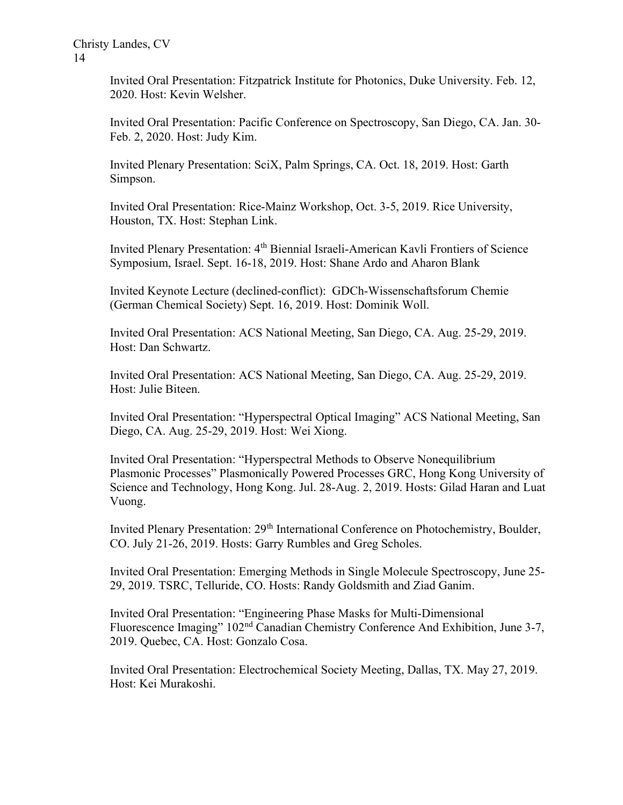Invited Oral Presentation: Fitzpatrick Institute for Photonics, Duke University. Feb. 12, 2020. Host: Kevin Welsher.

Invited Oral Presentation: Pacific Conference on Spectroscopy, San Diego, CA. Jan. 30- Feb. 2, 2020. Host: Judy Kim.

Invited Plenary Presentation: SciX, Palm Springs, CA. Oct. 18, 2019. Host: Garth Simpson.

Invited Oral Presentation: Rice-Mainz Workshop, Oct. 3-5, 2019. Rice University, Houston, TX. Host: Stephan Link.

Invited Plenary Presentation: 4<sup>th</sup> Biennial Israeli-American Kavli Frontiers of Science Symposium, Israel. Sept. 16-18, 2019. Host: Shane Ardo and Aharon Blank

Invited Keynote Lecture (declined-conflict): GDCh-Wissenschaftsforum Chemie (German Chemical Society) Sept. 16, 2019. Host: Dominik Woll.

Invited Oral Presentation: ACS National Meeting, San Diego, CA. Aug. 25-29, 2019. Host: Dan Schwartz.

Invited Oral Presentation: ACS National Meeting, San Diego, CA. Aug. 25-29, 2019. Host: Julie Biteen.

Invited Oral Presentation: "Hyperspectral Optical Imaging" ACS National Meeting, San Diego, CA. Aug. 25-29, 2019. Host: Wei Xiong.

Invited Oral Presentation: "Hyperspectral Methods to Observe Nonequilibrium Plasmonic Processes" Plasmonically Powered Processes GRC, Hong Kong University of Science and Technology, Hong Kong. Jul. 28-Aug. 2, 2019. Hosts: Gilad Haran and Luat Vuong.

Invited Plenary Presentation: 29<sup>th</sup> International Conference on Photochemistry, Boulder, CO. July 21-26, 2019. Hosts: Garry Rumbles and Greg Scholes.

Invited Oral Presentation: Emerging Methods in Single Molecule Spectroscopy, June 25- 29, 2019. TSRC, Telluride, CO. Hosts: Randy Goldsmith and Ziad Ganim.

Invited Oral Presentation: "Engineering Phase Masks for Multi-Dimensional Fluorescence Imaging" 102<sup>nd</sup> Canadian Chemistry Conference And Exhibition, June 3-7, 2019. Quebec, CA. Host: Gonzalo Cosa.

Invited Oral Presentation: Electrochemical Society Meeting, Dallas, TX. May 27, 2019. Host: Kei Murakoshi.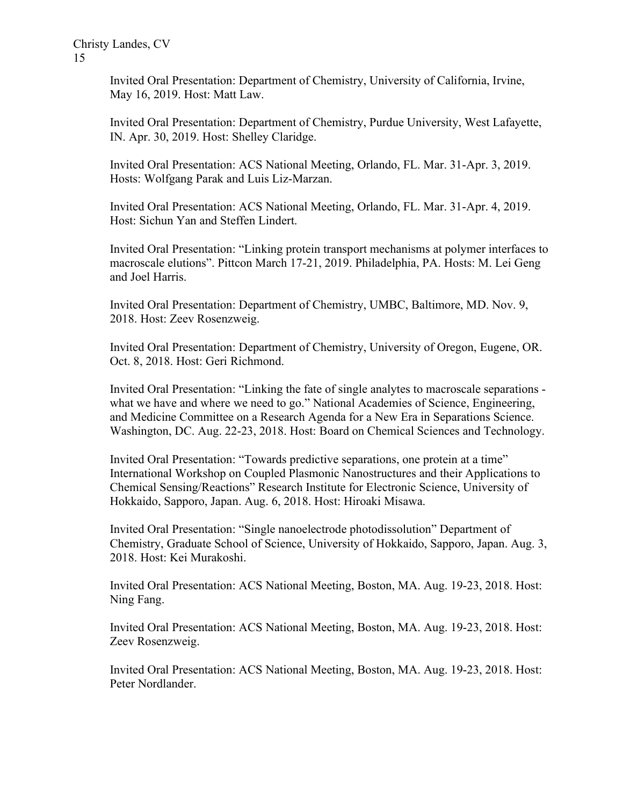Invited Oral Presentation: Department of Chemistry, University of California, Irvine, May 16, 2019. Host: Matt Law.

Invited Oral Presentation: Department of Chemistry, Purdue University, West Lafayette, IN. Apr. 30, 2019. Host: Shelley Claridge.

Invited Oral Presentation: ACS National Meeting, Orlando, FL. Mar. 31-Apr. 3, 2019. Hosts: Wolfgang Parak and Luis Liz-Marzan.

Invited Oral Presentation: ACS National Meeting, Orlando, FL. Mar. 31-Apr. 4, 2019. Host: Sichun Yan and Steffen Lindert.

Invited Oral Presentation: "Linking protein transport mechanisms at polymer interfaces to macroscale elutions". Pittcon March 17-21, 2019. Philadelphia, PA. Hosts: M. Lei Geng and Joel Harris.

Invited Oral Presentation: Department of Chemistry, UMBC, Baltimore, MD. Nov. 9, 2018. Host: Zeev Rosenzweig.

Invited Oral Presentation: Department of Chemistry, University of Oregon, Eugene, OR. Oct. 8, 2018. Host: Geri Richmond.

Invited Oral Presentation: "Linking the fate of single analytes to macroscale separations what we have and where we need to go." National Academies of Science, Engineering, and Medicine Committee on a Research Agenda for a New Era in Separations Science. Washington, DC. Aug. 22-23, 2018. Host: Board on Chemical Sciences and Technology.

Invited Oral Presentation: "Towards predictive separations, one protein at a time" International Workshop on Coupled Plasmonic Nanostructures and their Applications to Chemical Sensing/Reactions" Research Institute for Electronic Science, University of Hokkaido, Sapporo, Japan. Aug. 6, 2018. Host: Hiroaki Misawa.

Invited Oral Presentation: "Single nanoelectrode photodissolution" Department of Chemistry, Graduate School of Science, University of Hokkaido, Sapporo, Japan. Aug. 3, 2018. Host: Kei Murakoshi.

Invited Oral Presentation: ACS National Meeting, Boston, MA. Aug. 19-23, 2018. Host: Ning Fang.

Invited Oral Presentation: ACS National Meeting, Boston, MA. Aug. 19-23, 2018. Host: Zeev Rosenzweig.

Invited Oral Presentation: ACS National Meeting, Boston, MA. Aug. 19-23, 2018. Host: Peter Nordlander.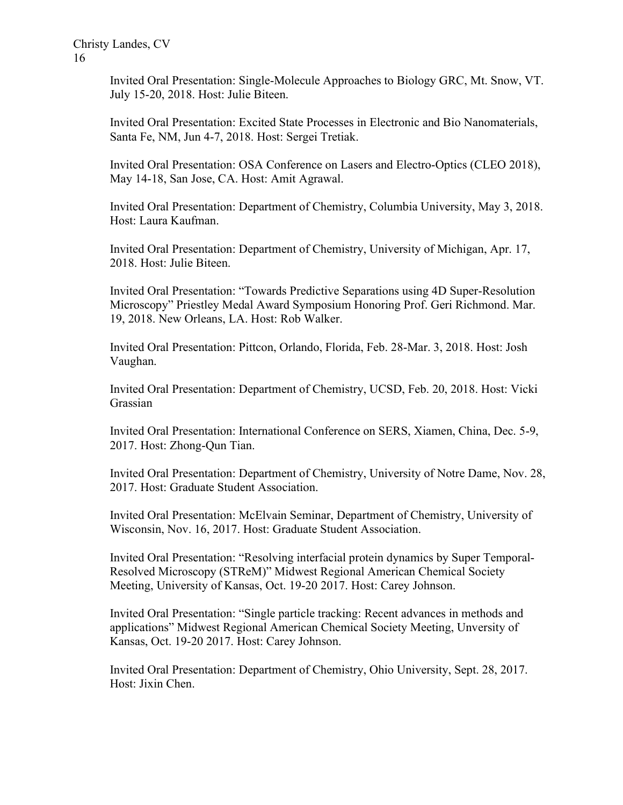> Invited Oral Presentation: Single-Molecule Approaches to Biology GRC, Mt. Snow, VT. July 15-20, 2018. Host: Julie Biteen.

Invited Oral Presentation: Excited State Processes in Electronic and Bio Nanomaterials, Santa Fe, NM, Jun 4-7, 2018. Host: Sergei Tretiak.

Invited Oral Presentation: OSA Conference on Lasers and Electro-Optics (CLEO 2018), May 14-18, San Jose, CA. Host: Amit Agrawal.

Invited Oral Presentation: Department of Chemistry, Columbia University, May 3, 2018. Host: Laura Kaufman.

Invited Oral Presentation: Department of Chemistry, University of Michigan, Apr. 17, 2018. Host: Julie Biteen.

Invited Oral Presentation: "Towards Predictive Separations using 4D Super-Resolution Microscopy" Priestley Medal Award Symposium Honoring Prof. Geri Richmond. Mar. 19, 2018. New Orleans, LA. Host: Rob Walker.

Invited Oral Presentation: Pittcon, Orlando, Florida, Feb. 28-Mar. 3, 2018. Host: Josh Vaughan.

Invited Oral Presentation: Department of Chemistry, UCSD, Feb. 20, 2018. Host: Vicki Grassian

Invited Oral Presentation: International Conference on SERS, Xiamen, China, Dec. 5-9, 2017. Host: Zhong-Qun Tian.

Invited Oral Presentation: Department of Chemistry, University of Notre Dame, Nov. 28, 2017. Host: Graduate Student Association.

Invited Oral Presentation: McElvain Seminar, Department of Chemistry, University of Wisconsin, Nov. 16, 2017. Host: Graduate Student Association.

Invited Oral Presentation: "Resolving interfacial protein dynamics by Super Temporal-Resolved Microscopy (STReM)" Midwest Regional American Chemical Society Meeting, University of Kansas, Oct. 19-20 2017. Host: Carey Johnson.

Invited Oral Presentation: "Single particle tracking: Recent advances in methods and applications" Midwest Regional American Chemical Society Meeting, Unversity of Kansas, Oct. 19-20 2017. Host: Carey Johnson.

Invited Oral Presentation: Department of Chemistry, Ohio University, Sept. 28, 2017. Host: Jixin Chen.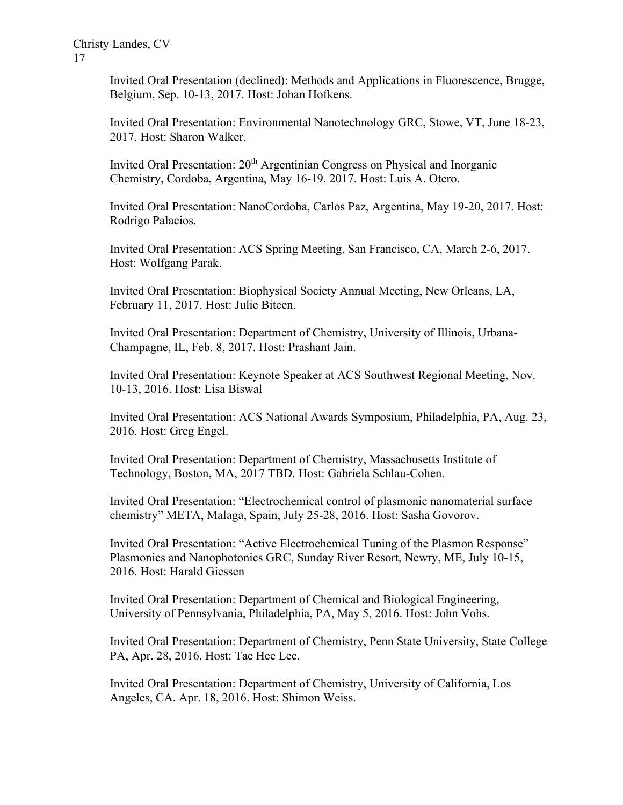Invited Oral Presentation (declined): Methods and Applications in Fluorescence, Brugge, Belgium, Sep. 10-13, 2017. Host: Johan Hofkens.

Invited Oral Presentation: Environmental Nanotechnology GRC, Stowe, VT, June 18-23, 2017. Host: Sharon Walker.

Invited Oral Presentation:  $20<sup>th</sup>$  Argentinian Congress on Physical and Inorganic Chemistry, Cordoba, Argentina, May 16-19, 2017. Host: Luis A. Otero.

Invited Oral Presentation: NanoCordoba, Carlos Paz, Argentina, May 19-20, 2017. Host: Rodrigo Palacios.

Invited Oral Presentation: ACS Spring Meeting, San Francisco, CA, March 2-6, 2017. Host: Wolfgang Parak.

Invited Oral Presentation: Biophysical Society Annual Meeting, New Orleans, LA, February 11, 2017. Host: Julie Biteen.

Invited Oral Presentation: Department of Chemistry, University of Illinois, Urbana-Champagne, IL, Feb. 8, 2017. Host: Prashant Jain.

Invited Oral Presentation: Keynote Speaker at ACS Southwest Regional Meeting, Nov. 10-13, 2016. Host: Lisa Biswal

Invited Oral Presentation: ACS National Awards Symposium, Philadelphia, PA, Aug. 23, 2016. Host: Greg Engel.

Invited Oral Presentation: Department of Chemistry, Massachusetts Institute of Technology, Boston, MA, 2017 TBD. Host: Gabriela Schlau-Cohen.

Invited Oral Presentation: "Electrochemical control of plasmonic nanomaterial surface chemistry" META, Malaga, Spain, July 25-28, 2016. Host: Sasha Govorov.

Invited Oral Presentation: "Active Electrochemical Tuning of the Plasmon Response" Plasmonics and Nanophotonics GRC, Sunday River Resort, Newry, ME, July 10-15, 2016. Host: Harald Giessen

Invited Oral Presentation: Department of Chemical and Biological Engineering, University of Pennsylvania, Philadelphia, PA, May 5, 2016. Host: John Vohs.

Invited Oral Presentation: Department of Chemistry, Penn State University, State College PA, Apr. 28, 2016. Host: Tae Hee Lee.

Invited Oral Presentation: Department of Chemistry, University of California, Los Angeles, CA. Apr. 18, 2016. Host: Shimon Weiss.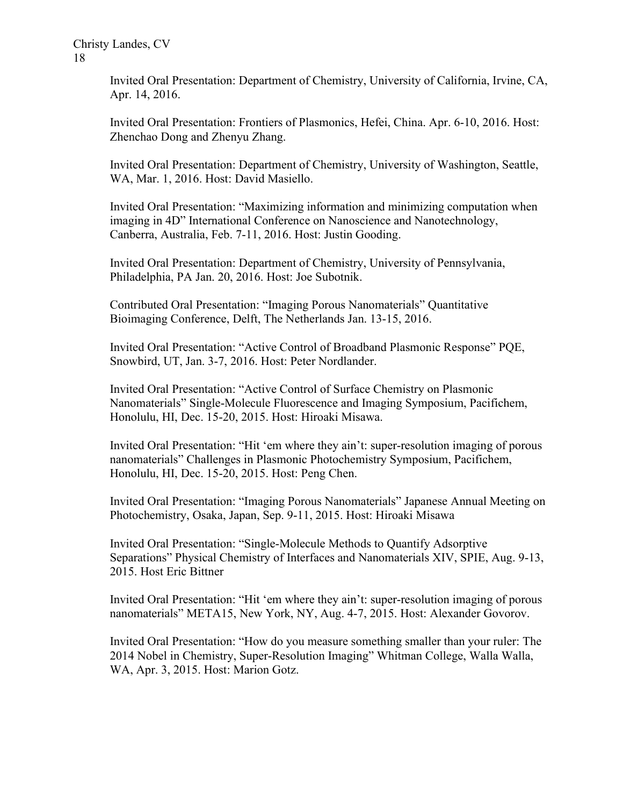Invited Oral Presentation: Department of Chemistry, University of California, Irvine, CA, Apr. 14, 2016.

Invited Oral Presentation: Frontiers of Plasmonics, Hefei, China. Apr. 6-10, 2016. Host: Zhenchao Dong and Zhenyu Zhang.

Invited Oral Presentation: Department of Chemistry, University of Washington, Seattle, WA, Mar. 1, 2016. Host: David Masiello.

Invited Oral Presentation: "Maximizing information and minimizing computation when imaging in 4D" International Conference on Nanoscience and Nanotechnology, Canberra, Australia, Feb. 7-11, 2016. Host: Justin Gooding.

Invited Oral Presentation: Department of Chemistry, University of Pennsylvania, Philadelphia, PA Jan. 20, 2016. Host: Joe Subotnik.

Contributed Oral Presentation: "Imaging Porous Nanomaterials" Quantitative Bioimaging Conference, Delft, The Netherlands Jan. 13-15, 2016.

Invited Oral Presentation: "Active Control of Broadband Plasmonic Response" PQE, Snowbird, UT, Jan. 3-7, 2016. Host: Peter Nordlander.

Invited Oral Presentation: "Active Control of Surface Chemistry on Plasmonic Nanomaterials" Single-Molecule Fluorescence and Imaging Symposium, Pacifichem, Honolulu, HI, Dec. 15-20, 2015. Host: Hiroaki Misawa.

Invited Oral Presentation: "Hit 'em where they ain't: super-resolution imaging of porous nanomaterials" Challenges in Plasmonic Photochemistry Symposium, Pacifichem, Honolulu, HI, Dec. 15-20, 2015. Host: Peng Chen.

Invited Oral Presentation: "Imaging Porous Nanomaterials" Japanese Annual Meeting on Photochemistry, Osaka, Japan, Sep. 9-11, 2015. Host: Hiroaki Misawa

Invited Oral Presentation: "Single-Molecule Methods to Quantify Adsorptive Separations" Physical Chemistry of Interfaces and Nanomaterials XIV, SPIE, Aug. 9-13, 2015. Host Eric Bittner

Invited Oral Presentation: "Hit 'em where they ain't: super-resolution imaging of porous nanomaterials" META15, New York, NY, Aug. 4-7, 2015. Host: Alexander Govorov.

Invited Oral Presentation: "How do you measure something smaller than your ruler: The 2014 Nobel in Chemistry, Super-Resolution Imaging" Whitman College, Walla Walla, WA, Apr. 3, 2015. Host: Marion Gotz.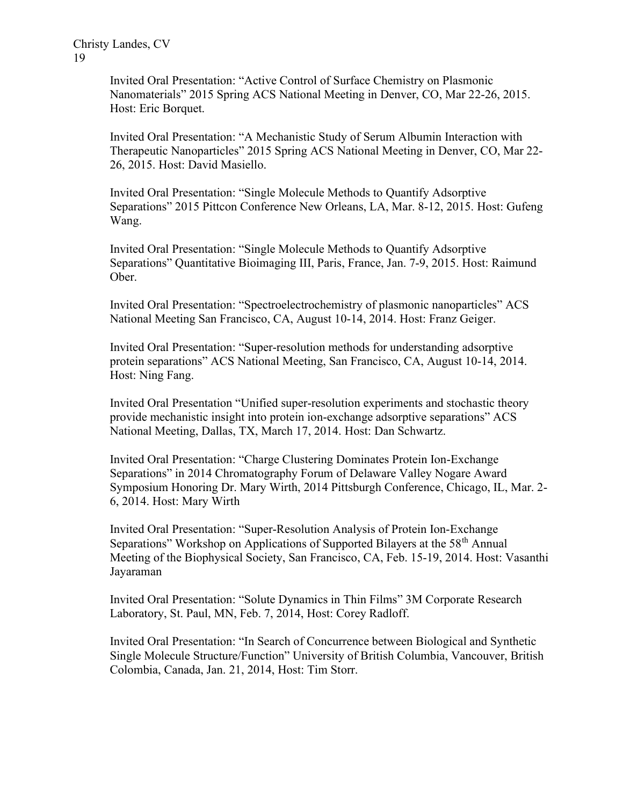Invited Oral Presentation: "Active Control of Surface Chemistry on Plasmonic Nanomaterials" 2015 Spring ACS National Meeting in Denver, CO, Mar 22-26, 2015. Host: Eric Borquet.

Invited Oral Presentation: "A Mechanistic Study of Serum Albumin Interaction with Therapeutic Nanoparticles" 2015 Spring ACS National Meeting in Denver, CO, Mar 22- 26, 2015. Host: David Masiello.

Invited Oral Presentation: "Single Molecule Methods to Quantify Adsorptive Separations" 2015 Pittcon Conference New Orleans, LA, Mar. 8-12, 2015. Host: Gufeng Wang.

Invited Oral Presentation: "Single Molecule Methods to Quantify Adsorptive Separations" Quantitative Bioimaging III, Paris, France, Jan. 7-9, 2015. Host: Raimund Ober.

Invited Oral Presentation: "Spectroelectrochemistry of plasmonic nanoparticles" ACS National Meeting San Francisco, CA, August 10-14, 2014. Host: Franz Geiger.

Invited Oral Presentation: "Super-resolution methods for understanding adsorptive protein separations" ACS National Meeting, San Francisco, CA, August 10-14, 2014. Host: Ning Fang.

Invited Oral Presentation "Unified super-resolution experiments and stochastic theory provide mechanistic insight into protein ion-exchange adsorptive separations" ACS National Meeting, Dallas, TX, March 17, 2014. Host: Dan Schwartz.

Invited Oral Presentation: "Charge Clustering Dominates Protein Ion-Exchange Separations" in 2014 Chromatography Forum of Delaware Valley Nogare Award Symposium Honoring Dr. Mary Wirth, 2014 Pittsburgh Conference, Chicago, IL, Mar. 2- 6, 2014. Host: Mary Wirth

Invited Oral Presentation: "Super-Resolution Analysis of Protein Ion-Exchange Separations" Workshop on Applications of Supported Bilayers at the 58<sup>th</sup> Annual Meeting of the Biophysical Society, San Francisco, CA, Feb. 15-19, 2014. Host: Vasanthi Jayaraman

Invited Oral Presentation: "Solute Dynamics in Thin Films" 3M Corporate Research Laboratory, St. Paul, MN, Feb. 7, 2014, Host: Corey Radloff.

Invited Oral Presentation: "In Search of Concurrence between Biological and Synthetic Single Molecule Structure/Function" University of British Columbia, Vancouver, British Colombia, Canada, Jan. 21, 2014, Host: Tim Storr.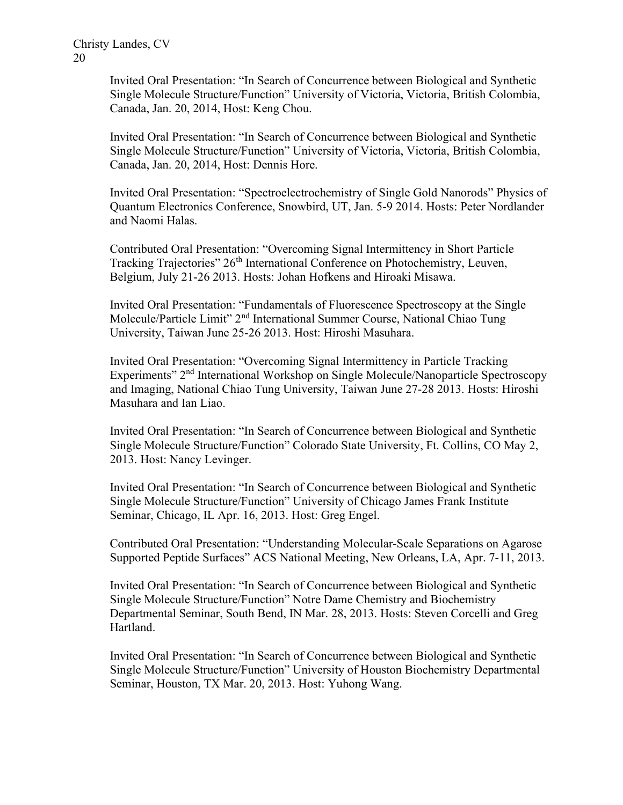> Invited Oral Presentation: "In Search of Concurrence between Biological and Synthetic Single Molecule Structure/Function" University of Victoria, Victoria, British Colombia, Canada, Jan. 20, 2014, Host: Keng Chou.

> Invited Oral Presentation: "In Search of Concurrence between Biological and Synthetic Single Molecule Structure/Function" University of Victoria, Victoria, British Colombia, Canada, Jan. 20, 2014, Host: Dennis Hore.

Invited Oral Presentation: "Spectroelectrochemistry of Single Gold Nanorods" Physics of Quantum Electronics Conference, Snowbird, UT, Jan. 5-9 2014. Hosts: Peter Nordlander and Naomi Halas.

Contributed Oral Presentation: "Overcoming Signal Intermittency in Short Particle Tracking Trajectories" 26<sup>th</sup> International Conference on Photochemistry, Leuven, Belgium, July 21-26 2013. Hosts: Johan Hofkens and Hiroaki Misawa.

Invited Oral Presentation: "Fundamentals of Fluorescence Spectroscopy at the Single Molecule/Particle Limit" 2<sup>nd</sup> International Summer Course, National Chiao Tung University, Taiwan June 25-26 2013. Host: Hiroshi Masuhara.

Invited Oral Presentation: "Overcoming Signal Intermittency in Particle Tracking Experiments" 2<sup>nd</sup> International Workshop on Single Molecule/Nanoparticle Spectroscopy and Imaging, National Chiao Tung University, Taiwan June 27-28 2013. Hosts: Hiroshi Masuhara and Ian Liao.

Invited Oral Presentation: "In Search of Concurrence between Biological and Synthetic Single Molecule Structure/Function" Colorado State University, Ft. Collins, CO May 2, 2013. Host: Nancy Levinger.

Invited Oral Presentation: "In Search of Concurrence between Biological and Synthetic Single Molecule Structure/Function" University of Chicago James Frank Institute Seminar, Chicago, IL Apr. 16, 2013. Host: Greg Engel.

Contributed Oral Presentation: "Understanding Molecular-Scale Separations on Agarose Supported Peptide Surfaces" ACS National Meeting, New Orleans, LA, Apr. 7-11, 2013.

Invited Oral Presentation: "In Search of Concurrence between Biological and Synthetic Single Molecule Structure/Function" Notre Dame Chemistry and Biochemistry Departmental Seminar, South Bend, IN Mar. 28, 2013. Hosts: Steven Corcelli and Greg Hartland.

Invited Oral Presentation: "In Search of Concurrence between Biological and Synthetic Single Molecule Structure/Function" University of Houston Biochemistry Departmental Seminar, Houston, TX Mar. 20, 2013. Host: Yuhong Wang.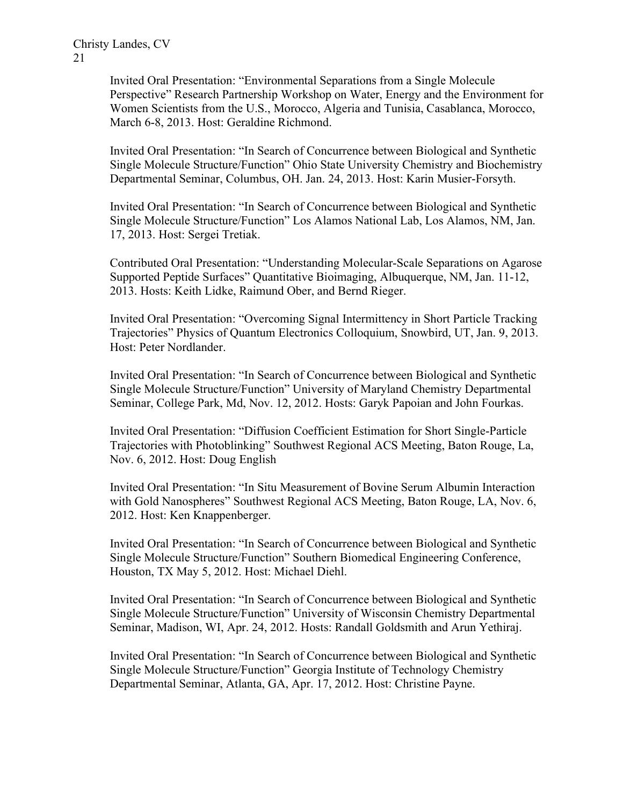Invited Oral Presentation: "Environmental Separations from a Single Molecule Perspective" Research Partnership Workshop on Water, Energy and the Environment for Women Scientists from the U.S., Morocco, Algeria and Tunisia, Casablanca, Morocco, March 6-8, 2013. Host: Geraldine Richmond.

Invited Oral Presentation: "In Search of Concurrence between Biological and Synthetic Single Molecule Structure/Function" Ohio State University Chemistry and Biochemistry Departmental Seminar, Columbus, OH. Jan. 24, 2013. Host: Karin Musier-Forsyth.

Invited Oral Presentation: "In Search of Concurrence between Biological and Synthetic Single Molecule Structure/Function" Los Alamos National Lab, Los Alamos, NM, Jan. 17, 2013. Host: Sergei Tretiak.

Contributed Oral Presentation: "Understanding Molecular-Scale Separations on Agarose Supported Peptide Surfaces" Quantitative Bioimaging, Albuquerque, NM, Jan. 11-12, 2013. Hosts: Keith Lidke, Raimund Ober, and Bernd Rieger.

Invited Oral Presentation: "Overcoming Signal Intermittency in Short Particle Tracking Trajectories" Physics of Quantum Electronics Colloquium, Snowbird, UT, Jan. 9, 2013. Host: Peter Nordlander.

Invited Oral Presentation: "In Search of Concurrence between Biological and Synthetic Single Molecule Structure/Function" University of Maryland Chemistry Departmental Seminar, College Park, Md, Nov. 12, 2012. Hosts: Garyk Papoian and John Fourkas.

Invited Oral Presentation: "Diffusion Coefficient Estimation for Short Single-Particle Trajectories with Photoblinking" Southwest Regional ACS Meeting, Baton Rouge, La, Nov. 6, 2012. Host: Doug English

Invited Oral Presentation: "In Situ Measurement of Bovine Serum Albumin Interaction with Gold Nanospheres" Southwest Regional ACS Meeting, Baton Rouge, LA, Nov. 6, 2012. Host: Ken Knappenberger.

Invited Oral Presentation: "In Search of Concurrence between Biological and Synthetic Single Molecule Structure/Function" Southern Biomedical Engineering Conference, Houston, TX May 5, 2012. Host: Michael Diehl.

Invited Oral Presentation: "In Search of Concurrence between Biological and Synthetic Single Molecule Structure/Function" University of Wisconsin Chemistry Departmental Seminar, Madison, WI, Apr. 24, 2012. Hosts: Randall Goldsmith and Arun Yethiraj.

Invited Oral Presentation: "In Search of Concurrence between Biological and Synthetic Single Molecule Structure/Function" Georgia Institute of Technology Chemistry Departmental Seminar, Atlanta, GA, Apr. 17, 2012. Host: Christine Payne.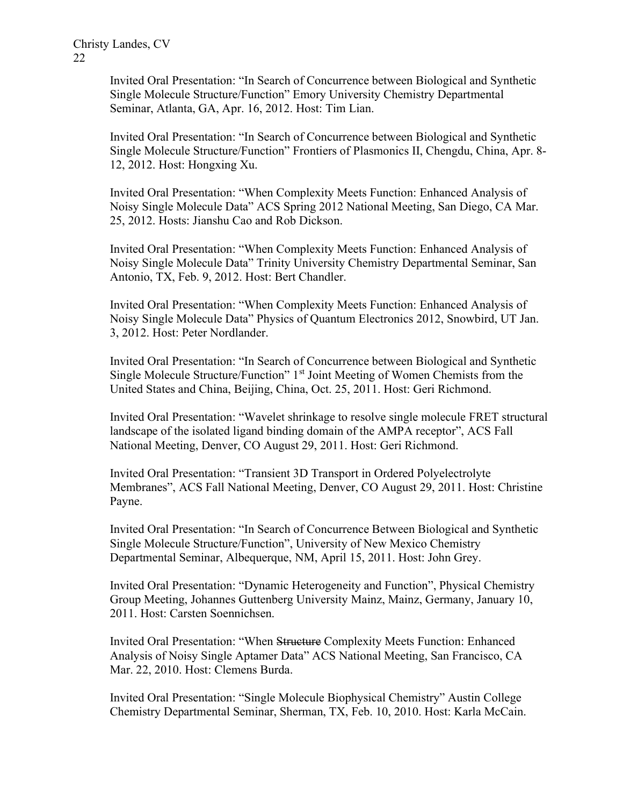> Invited Oral Presentation: "In Search of Concurrence between Biological and Synthetic Single Molecule Structure/Function" Emory University Chemistry Departmental Seminar, Atlanta, GA, Apr. 16, 2012. Host: Tim Lian.

Invited Oral Presentation: "In Search of Concurrence between Biological and Synthetic Single Molecule Structure/Function" Frontiers of Plasmonics II, Chengdu, China, Apr. 8- 12, 2012. Host: Hongxing Xu.

Invited Oral Presentation: "When Complexity Meets Function: Enhanced Analysis of Noisy Single Molecule Data" ACS Spring 2012 National Meeting, San Diego, CA Mar. 25, 2012. Hosts: Jianshu Cao and Rob Dickson.

Invited Oral Presentation: "When Complexity Meets Function: Enhanced Analysis of Noisy Single Molecule Data" Trinity University Chemistry Departmental Seminar, San Antonio, TX, Feb. 9, 2012. Host: Bert Chandler.

Invited Oral Presentation: "When Complexity Meets Function: Enhanced Analysis of Noisy Single Molecule Data" Physics of Quantum Electronics 2012, Snowbird, UT Jan. 3, 2012. Host: Peter Nordlander.

Invited Oral Presentation: "In Search of Concurrence between Biological and Synthetic Single Molecule Structure/Function"  $1<sup>st</sup>$  Joint Meeting of Women Chemists from the United States and China, Beijing, China, Oct. 25, 2011. Host: Geri Richmond.

Invited Oral Presentation: "Wavelet shrinkage to resolve single molecule FRET structural landscape of the isolated ligand binding domain of the AMPA receptor", ACS Fall National Meeting, Denver, CO August 29, 2011. Host: Geri Richmond.

Invited Oral Presentation: "Transient 3D Transport in Ordered Polyelectrolyte Membranes", ACS Fall National Meeting, Denver, CO August 29, 2011. Host: Christine Payne.

Invited Oral Presentation: "In Search of Concurrence Between Biological and Synthetic Single Molecule Structure/Function", University of New Mexico Chemistry Departmental Seminar, Albequerque, NM, April 15, 2011. Host: John Grey.

Invited Oral Presentation: "Dynamic Heterogeneity and Function", Physical Chemistry Group Meeting, Johannes Guttenberg University Mainz, Mainz, Germany, January 10, 2011. Host: Carsten Soennichsen.

Invited Oral Presentation: "When Structure Complexity Meets Function: Enhanced Analysis of Noisy Single Aptamer Data" ACS National Meeting, San Francisco, CA Mar. 22, 2010. Host: Clemens Burda.

Invited Oral Presentation: "Single Molecule Biophysical Chemistry" Austin College Chemistry Departmental Seminar, Sherman, TX, Feb. 10, 2010. Host: Karla McCain.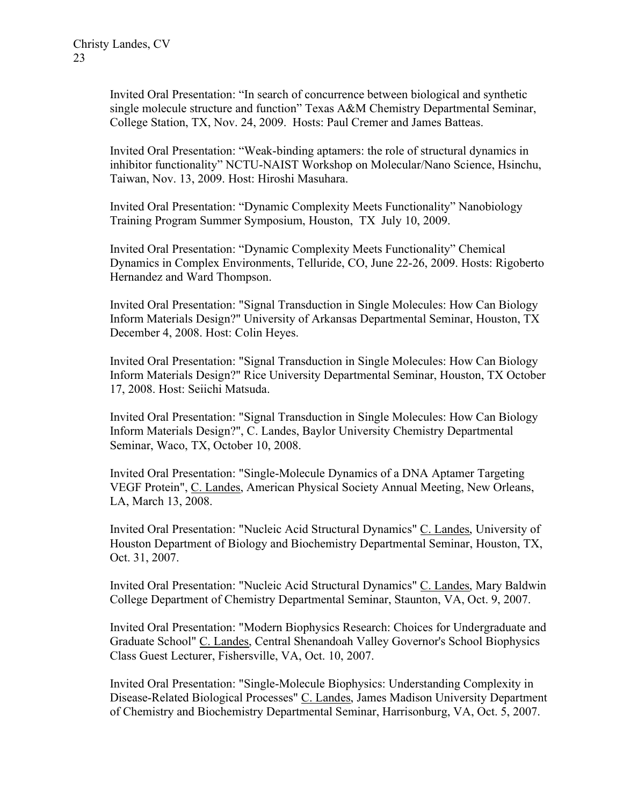Invited Oral Presentation: "In search of concurrence between biological and synthetic single molecule structure and function" Texas A&M Chemistry Departmental Seminar, College Station, TX, Nov. 24, 2009. Hosts: Paul Cremer and James Batteas.

Invited Oral Presentation: "Weak-binding aptamers: the role of structural dynamics in inhibitor functionality" NCTU-NAIST Workshop on Molecular/Nano Science, Hsinchu, Taiwan, Nov. 13, 2009. Host: Hiroshi Masuhara.

Invited Oral Presentation: "Dynamic Complexity Meets Functionality" Nanobiology Training Program Summer Symposium, Houston, TX July 10, 2009.

Invited Oral Presentation: "Dynamic Complexity Meets Functionality" Chemical Dynamics in Complex Environments, Telluride, CO, June 22-26, 2009. Hosts: Rigoberto Hernandez and Ward Thompson.

Invited Oral Presentation: "Signal Transduction in Single Molecules: How Can Biology Inform Materials Design?" University of Arkansas Departmental Seminar, Houston, TX December 4, 2008. Host: Colin Heyes.

Invited Oral Presentation: "Signal Transduction in Single Molecules: How Can Biology Inform Materials Design?" Rice University Departmental Seminar, Houston, TX October 17, 2008. Host: Seiichi Matsuda.

Invited Oral Presentation: "Signal Transduction in Single Molecules: How Can Biology Inform Materials Design?", C. Landes, Baylor University Chemistry Departmental Seminar, Waco, TX, October 10, 2008.

Invited Oral Presentation: "Single-Molecule Dynamics of a DNA Aptamer Targeting VEGF Protein", C. Landes, American Physical Society Annual Meeting, New Orleans, LA, March 13, 2008.

Invited Oral Presentation: "Nucleic Acid Structural Dynamics" C. Landes, University of Houston Department of Biology and Biochemistry Departmental Seminar, Houston, TX, Oct. 31, 2007.

Invited Oral Presentation: "Nucleic Acid Structural Dynamics" C. Landes, Mary Baldwin College Department of Chemistry Departmental Seminar, Staunton, VA, Oct. 9, 2007.

Invited Oral Presentation: "Modern Biophysics Research: Choices for Undergraduate and Graduate School" C. Landes, Central Shenandoah Valley Governor's School Biophysics Class Guest Lecturer, Fishersville, VA, Oct. 10, 2007.

Invited Oral Presentation: "Single-Molecule Biophysics: Understanding Complexity in Disease-Related Biological Processes" C. Landes, James Madison University Department of Chemistry and Biochemistry Departmental Seminar, Harrisonburg, VA, Oct. 5, 2007.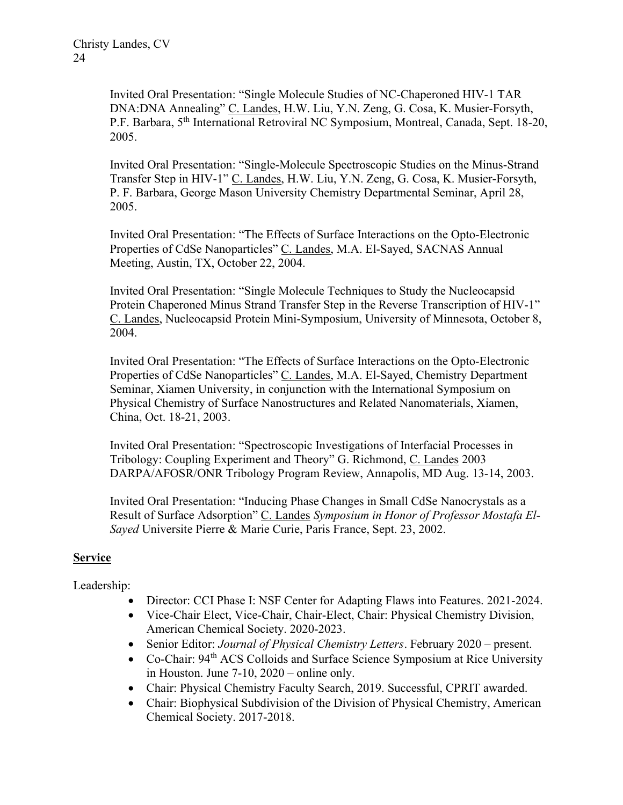Invited Oral Presentation: "Single Molecule Studies of NC-Chaperoned HIV-1 TAR DNA:DNA Annealing" C. Landes, H.W. Liu, Y.N. Zeng, G. Cosa, K. Musier-Forsyth, P.F. Barbara, 5<sup>th</sup> International Retroviral NC Symposium, Montreal, Canada, Sept. 18-20, 2005.

Invited Oral Presentation: "Single-Molecule Spectroscopic Studies on the Minus-Strand Transfer Step in HIV-1" C. Landes, H.W. Liu, Y.N. Zeng, G. Cosa, K. Musier-Forsyth, P. F. Barbara, George Mason University Chemistry Departmental Seminar, April 28, 2005.

Invited Oral Presentation: "The Effects of Surface Interactions on the Opto-Electronic Properties of CdSe Nanoparticles" C. Landes, M.A. El-Sayed, SACNAS Annual Meeting, Austin, TX, October 22, 2004.

Invited Oral Presentation: "Single Molecule Techniques to Study the Nucleocapsid Protein Chaperoned Minus Strand Transfer Step in the Reverse Transcription of HIV-1" C. Landes, Nucleocapsid Protein Mini-Symposium, University of Minnesota, October 8, 2004.

Invited Oral Presentation: "The Effects of Surface Interactions on the Opto-Electronic Properties of CdSe Nanoparticles" C. Landes, M.A. El-Sayed, Chemistry Department Seminar, Xiamen University, in conjunction with the International Symposium on Physical Chemistry of Surface Nanostructures and Related Nanomaterials, Xiamen, China, Oct. 18-21, 2003.

Invited Oral Presentation: "Spectroscopic Investigations of Interfacial Processes in Tribology: Coupling Experiment and Theory" G. Richmond, C. Landes 2003 DARPA/AFOSR/ONR Tribology Program Review, Annapolis, MD Aug. 13-14, 2003.

Invited Oral Presentation: "Inducing Phase Changes in Small CdSe Nanocrystals as a Result of Surface Adsorption" C. Landes Symposium in Honor of Professor Mostafa El-Sayed Universite Pierre & Marie Curie, Paris France, Sept. 23, 2002.

## Service

Leadership:

- Director: CCI Phase I: NSF Center for Adapting Flaws into Features. 2021-2024.
- Vice-Chair Elect, Vice-Chair, Chair-Elect, Chair: Physical Chemistry Division, American Chemical Society. 2020-2023.
- Senior Editor: Journal of Physical Chemistry Letters. February 2020 present.
- Co-Chair:  $94<sup>th</sup>$  ACS Colloids and Surface Science Symposium at Rice University in Houston. June 7-10, 2020 – online only.
- Chair: Physical Chemistry Faculty Search, 2019. Successful, CPRIT awarded.
- Chair: Biophysical Subdivision of the Division of Physical Chemistry, American Chemical Society. 2017-2018.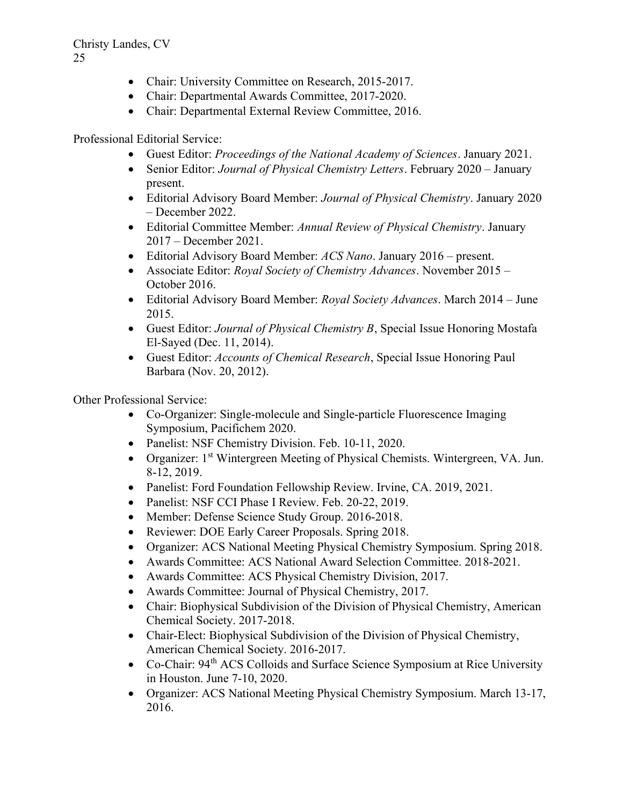- Chair: University Committee on Research, 2015-2017.
- Chair: Departmental Awards Committee, 2017-2020.
- Chair: Departmental External Review Committee, 2016.

Professional Editorial Service:

- Guest Editor: Proceedings of the National Academy of Sciences. January 2021.
- Senior Editor: *Journal of Physical Chemistry Letters*. February 2020 January present.
- Editorial Advisory Board Member: Journal of Physical Chemistry. January 2020 – December 2022.
- Editorial Committee Member: Annual Review of Physical Chemistry. January 2017 – December 2021.
- Editorial Advisory Board Member: ACS Nano. January 2016 present.
- Associate Editor: *Royal Society of Chemistry Advances*. November 2015 October 2016.
- Editorial Advisory Board Member: Royal Society Advances. March 2014 June 2015.
- Guest Editor: Journal of Physical Chemistry B, Special Issue Honoring Mostafa El-Sayed (Dec. 11, 2014).
- Guest Editor: Accounts of Chemical Research, Special Issue Honoring Paul Barbara (Nov. 20, 2012).

Other Professional Service:

- Co-Organizer: Single-molecule and Single-particle Fluorescence Imaging Symposium, Pacifichem 2020.
- Panelist: NSF Chemistry Division. Feb. 10-11, 2020.
- Organizer: 1<sup>st</sup> Wintergreen Meeting of Physical Chemists. Wintergreen, VA. Jun. 8-12, 2019.
- Panelist: Ford Foundation Fellowship Review. Irvine, CA. 2019, 2021.
- Panelist: NSF CCI Phase I Review. Feb. 20-22, 2019.
- Member: Defense Science Study Group. 2016-2018.
- Reviewer: DOE Early Career Proposals. Spring 2018.
- Organizer: ACS National Meeting Physical Chemistry Symposium. Spring 2018.
- Awards Committee: ACS National Award Selection Committee. 2018-2021.
- Awards Committee: ACS Physical Chemistry Division, 2017.
- Awards Committee: Journal of Physical Chemistry, 2017.
- Chair: Biophysical Subdivision of the Division of Physical Chemistry, American Chemical Society. 2017-2018.
- Chair-Elect: Biophysical Subdivision of the Division of Physical Chemistry, American Chemical Society. 2016-2017.
- Co-Chair: 94<sup>th</sup> ACS Colloids and Surface Science Symposium at Rice University in Houston. June 7-10, 2020.
- Organizer: ACS National Meeting Physical Chemistry Symposium. March 13-17, 2016.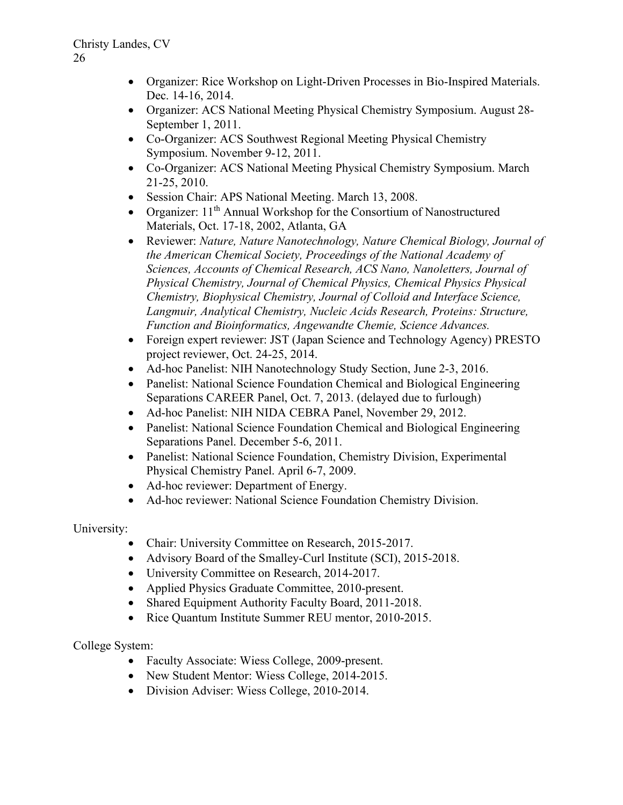- Organizer: Rice Workshop on Light-Driven Processes in Bio-Inspired Materials. Dec. 14-16, 2014.
- Organizer: ACS National Meeting Physical Chemistry Symposium. August 28- September 1, 2011.
- Co-Organizer: ACS Southwest Regional Meeting Physical Chemistry Symposium. November 9-12, 2011.
- Co-Organizer: ACS National Meeting Physical Chemistry Symposium. March 21-25, 2010.
- Session Chair: APS National Meeting. March 13, 2008.
- Organizer:  $11<sup>th</sup>$  Annual Workshop for the Consortium of Nanostructured Materials, Oct. 17-18, 2002, Atlanta, GA
- Reviewer: Nature, Nature Nanotechnology, Nature Chemical Biology, Journal of the American Chemical Society, Proceedings of the National Academy of Sciences, Accounts of Chemical Research, ACS Nano, Nanoletters, Journal of Physical Chemistry, Journal of Chemical Physics, Chemical Physics Physical Chemistry, Biophysical Chemistry, Journal of Colloid and Interface Science, Langmuir, Analytical Chemistry, Nucleic Acids Research, Proteins: Structure, Function and Bioinformatics, Angewandte Chemie, Science Advances.
- Foreign expert reviewer: JST (Japan Science and Technology Agency) PRESTO project reviewer, Oct. 24-25, 2014.
- Ad-hoc Panelist: NIH Nanotechnology Study Section, June 2-3, 2016.
- Panelist: National Science Foundation Chemical and Biological Engineering Separations CAREER Panel, Oct. 7, 2013. (delayed due to furlough)
- Ad-hoc Panelist: NIH NIDA CEBRA Panel, November 29, 2012.
- Panelist: National Science Foundation Chemical and Biological Engineering Separations Panel. December 5-6, 2011.
- Panelist: National Science Foundation, Chemistry Division, Experimental Physical Chemistry Panel. April 6-7, 2009.
- Ad-hoc reviewer: Department of Energy.
- Ad-hoc reviewer: National Science Foundation Chemistry Division.

University:

- Chair: University Committee on Research, 2015-2017.
- Advisory Board of the Smalley-Curl Institute (SCI), 2015-2018.
- University Committee on Research, 2014-2017.
- Applied Physics Graduate Committee, 2010-present.
- Shared Equipment Authority Faculty Board, 2011-2018.
- Rice Quantum Institute Summer REU mentor, 2010-2015.

College System:

- Faculty Associate: Wiess College, 2009-present.
- New Student Mentor: Wiess College, 2014-2015.
- Division Adviser: Wiess College, 2010-2014.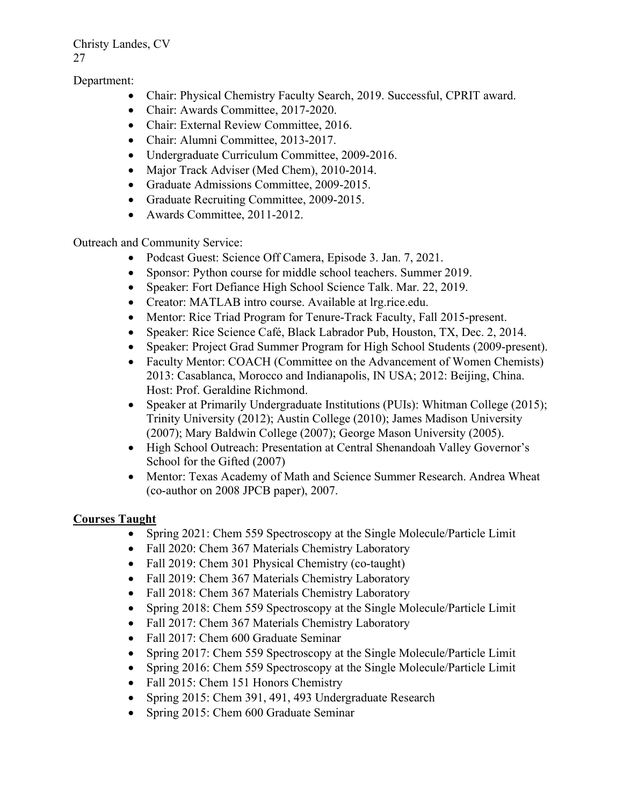Department:

- Chair: Physical Chemistry Faculty Search, 2019. Successful, CPRIT award.
- Chair: Awards Committee, 2017-2020.
- Chair: External Review Committee, 2016.
- Chair: Alumni Committee, 2013-2017.
- Undergraduate Curriculum Committee, 2009-2016.
- Major Track Adviser (Med Chem), 2010-2014.
- Graduate Admissions Committee, 2009-2015.
- Graduate Recruiting Committee, 2009-2015.
- Awards Committee, 2011-2012.

Outreach and Community Service:

- Podcast Guest: Science Off Camera, Episode 3. Jan. 7, 2021.
- Sponsor: Python course for middle school teachers. Summer 2019.
- Speaker: Fort Defiance High School Science Talk. Mar. 22, 2019.
- Creator: MATLAB intro course. Available at lrg.rice.edu.
- Mentor: Rice Triad Program for Tenure-Track Faculty, Fall 2015-present.
- Speaker: Rice Science Café, Black Labrador Pub, Houston, TX, Dec. 2, 2014.
- Speaker: Project Grad Summer Program for High School Students (2009-present).
- Faculty Mentor: COACH (Committee on the Advancement of Women Chemists) 2013: Casablanca, Morocco and Indianapolis, IN USA; 2012: Beijing, China. Host: Prof. Geraldine Richmond.
- Speaker at Primarily Undergraduate Institutions (PUIs): Whitman College (2015); Trinity University (2012); Austin College (2010); James Madison University (2007); Mary Baldwin College (2007); George Mason University (2005).
- High School Outreach: Presentation at Central Shenandoah Valley Governor's School for the Gifted (2007)
- Mentor: Texas Academy of Math and Science Summer Research. Andrea Wheat (co-author on 2008 JPCB paper), 2007.

## Courses Taught

- Spring 2021: Chem 559 Spectroscopy at the Single Molecule/Particle Limit
- Fall 2020: Chem 367 Materials Chemistry Laboratory
- Fall 2019: Chem 301 Physical Chemistry (co-taught)
- Fall 2019: Chem 367 Materials Chemistry Laboratory
- Fall 2018: Chem 367 Materials Chemistry Laboratory
- Spring 2018: Chem 559 Spectroscopy at the Single Molecule/Particle Limit
- Fall 2017: Chem 367 Materials Chemistry Laboratory
- Fall 2017: Chem 600 Graduate Seminar
- Spring 2017: Chem 559 Spectroscopy at the Single Molecule/Particle Limit
- Spring 2016: Chem 559 Spectroscopy at the Single Molecule/Particle Limit
- Fall 2015: Chem 151 Honors Chemistry
- Spring 2015: Chem 391, 491, 493 Undergraduate Research
- Spring 2015: Chem 600 Graduate Seminar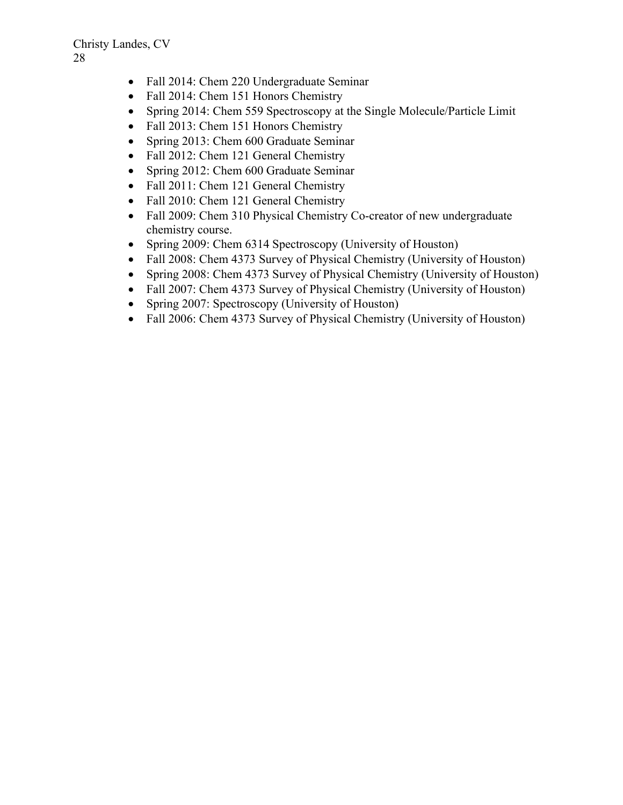- Fall 2014: Chem 220 Undergraduate Seminar
- Fall 2014: Chem 151 Honors Chemistry
- Spring 2014: Chem 559 Spectroscopy at the Single Molecule/Particle Limit
- Fall 2013: Chem 151 Honors Chemistry
- Spring 2013: Chem 600 Graduate Seminar
- Fall 2012: Chem 121 General Chemistry
- Spring 2012: Chem 600 Graduate Seminar
- Fall 2011: Chem 121 General Chemistry
- Fall 2010: Chem 121 General Chemistry
- Fall 2009: Chem 310 Physical Chemistry Co-creator of new undergraduate chemistry course.
- Spring 2009: Chem 6314 Spectroscopy (University of Houston)
- Fall 2008: Chem 4373 Survey of Physical Chemistry (University of Houston)
- Spring 2008: Chem 4373 Survey of Physical Chemistry (University of Houston)
- Fall 2007: Chem 4373 Survey of Physical Chemistry (University of Houston)
- Spring 2007: Spectroscopy (University of Houston)
- Fall 2006: Chem 4373 Survey of Physical Chemistry (University of Houston)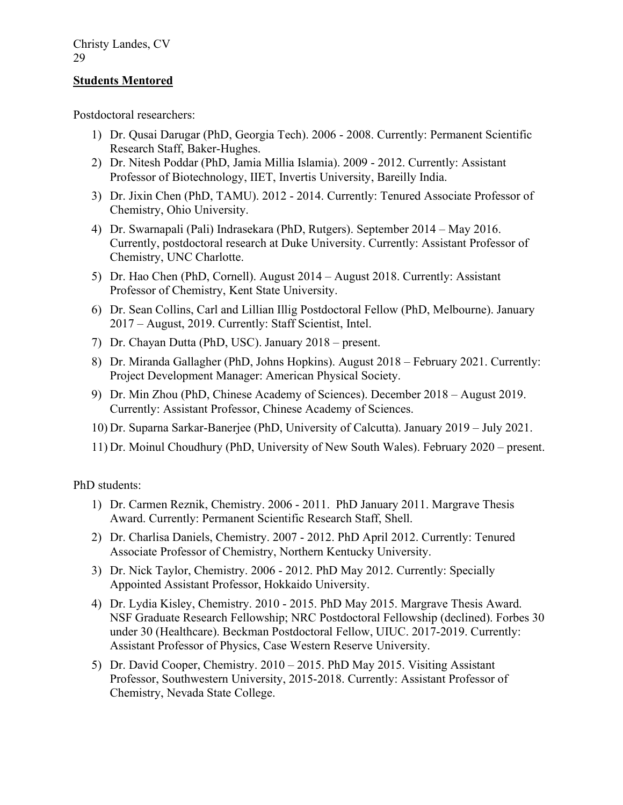## Students Mentored

Postdoctoral researchers:

- 1) Dr. Qusai Darugar (PhD, Georgia Tech). 2006 2008. Currently: Permanent Scientific Research Staff, Baker-Hughes.
- 2) Dr. Nitesh Poddar (PhD, Jamia Millia Islamia). 2009 2012. Currently: Assistant Professor of Biotechnology, IIET, Invertis University, Bareilly India.
- 3) Dr. Jixin Chen (PhD, TAMU). 2012 2014. Currently: Tenured Associate Professor of Chemistry, Ohio University.
- 4) Dr. Swarnapali (Pali) Indrasekara (PhD, Rutgers). September 2014 May 2016. Currently, postdoctoral research at Duke University. Currently: Assistant Professor of Chemistry, UNC Charlotte.
- 5) Dr. Hao Chen (PhD, Cornell). August 2014 August 2018. Currently: Assistant Professor of Chemistry, Kent State University.
- 6) Dr. Sean Collins, Carl and Lillian Illig Postdoctoral Fellow (PhD, Melbourne). January 2017 – August, 2019. Currently: Staff Scientist, Intel.
- 7) Dr. Chayan Dutta (PhD, USC). January 2018 present.
- 8) Dr. Miranda Gallagher (PhD, Johns Hopkins). August 2018 February 2021. Currently: Project Development Manager: American Physical Society.
- 9) Dr. Min Zhou (PhD, Chinese Academy of Sciences). December 2018 August 2019. Currently: Assistant Professor, Chinese Academy of Sciences.
- 10) Dr. Suparna Sarkar-Banerjee (PhD, University of Calcutta). January 2019 July 2021.
- 11) Dr. Moinul Choudhury (PhD, University of New South Wales). February 2020 present.

PhD students:

- 1) Dr. Carmen Reznik, Chemistry. 2006 2011. PhD January 2011. Margrave Thesis Award. Currently: Permanent Scientific Research Staff, Shell.
- 2) Dr. Charlisa Daniels, Chemistry. 2007 2012. PhD April 2012. Currently: Tenured Associate Professor of Chemistry, Northern Kentucky University.
- 3) Dr. Nick Taylor, Chemistry. 2006 2012. PhD May 2012. Currently: Specially Appointed Assistant Professor, Hokkaido University.
- 4) Dr. Lydia Kisley, Chemistry. 2010 2015. PhD May 2015. Margrave Thesis Award. NSF Graduate Research Fellowship; NRC Postdoctoral Fellowship (declined). Forbes 30 under 30 (Healthcare). Beckman Postdoctoral Fellow, UIUC. 2017-2019. Currently: Assistant Professor of Physics, Case Western Reserve University.
- 5) Dr. David Cooper, Chemistry. 2010 2015. PhD May 2015. Visiting Assistant Professor, Southwestern University, 2015-2018. Currently: Assistant Professor of Chemistry, Nevada State College.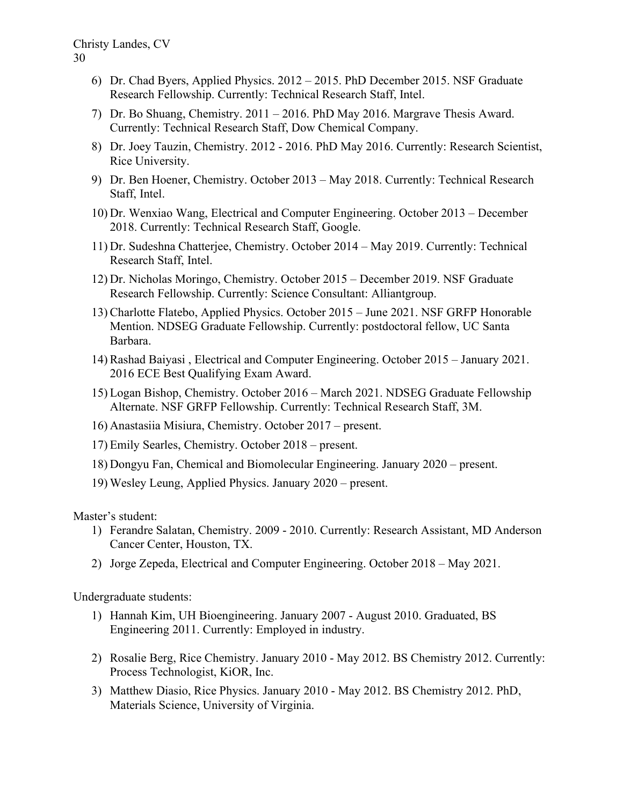- 6) Dr. Chad Byers, Applied Physics. 2012 2015. PhD December 2015. NSF Graduate Research Fellowship. Currently: Technical Research Staff, Intel.
- 7) Dr. Bo Shuang, Chemistry. 2011 2016. PhD May 2016. Margrave Thesis Award. Currently: Technical Research Staff, Dow Chemical Company.
- 8) Dr. Joey Tauzin, Chemistry. 2012 2016. PhD May 2016. Currently: Research Scientist, Rice University.
- 9) Dr. Ben Hoener, Chemistry. October 2013 May 2018. Currently: Technical Research Staff, Intel.
- 10) Dr. Wenxiao Wang, Electrical and Computer Engineering. October 2013 December 2018. Currently: Technical Research Staff, Google.
- 11) Dr. Sudeshna Chatterjee, Chemistry. October 2014 May 2019. Currently: Technical Research Staff, Intel.
- 12) Dr. Nicholas Moringo, Chemistry. October 2015 December 2019. NSF Graduate Research Fellowship. Currently: Science Consultant: Alliantgroup.
- 13) Charlotte Flatebo, Applied Physics. October 2015 June 2021. NSF GRFP Honorable Mention. NDSEG Graduate Fellowship. Currently: postdoctoral fellow, UC Santa Barbara.
- 14) Rashad Baiyasi , Electrical and Computer Engineering. October 2015 January 2021. 2016 ECE Best Qualifying Exam Award.
- 15) Logan Bishop, Chemistry. October 2016 March 2021. NDSEG Graduate Fellowship Alternate. NSF GRFP Fellowship. Currently: Technical Research Staff, 3M.
- 16) Anastasiia Misiura, Chemistry. October 2017 present.
- 17) Emily Searles, Chemistry. October 2018 present.
- 18) Dongyu Fan, Chemical and Biomolecular Engineering. January 2020 present.
- 19) Wesley Leung, Applied Physics. January 2020 present.

Master's student:

- 1) Ferandre Salatan, Chemistry. 2009 2010. Currently: Research Assistant, MD Anderson Cancer Center, Houston, TX.
- 2) Jorge Zepeda, Electrical and Computer Engineering. October 2018 May 2021.

Undergraduate students:

- 1) Hannah Kim, UH Bioengineering. January 2007 August 2010. Graduated, BS Engineering 2011. Currently: Employed in industry.
- 2) Rosalie Berg, Rice Chemistry. January 2010 May 2012. BS Chemistry 2012. Currently: Process Technologist, KiOR, Inc.
- 3) Matthew Diasio, Rice Physics. January 2010 May 2012. BS Chemistry 2012. PhD, Materials Science, University of Virginia.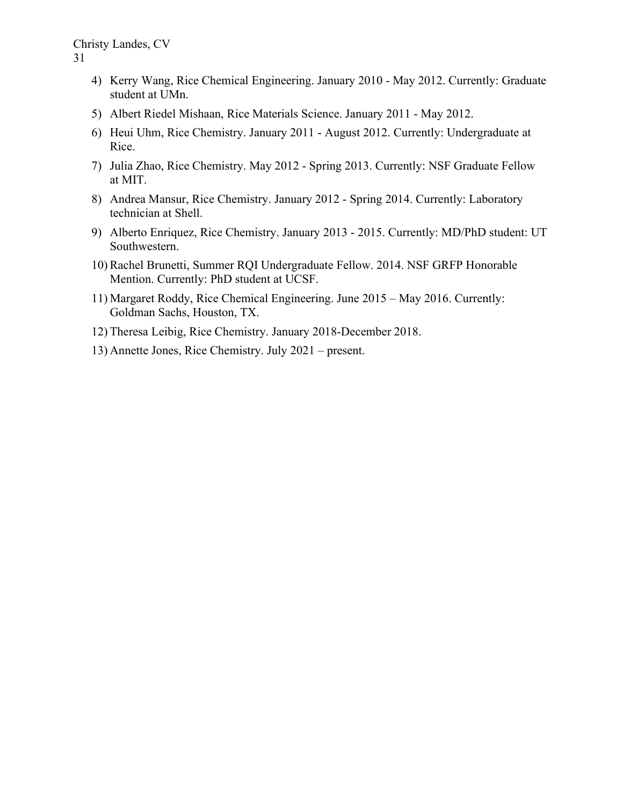- 4) Kerry Wang, Rice Chemical Engineering. January 2010 May 2012. Currently: Graduate student at UMn.
- 5) Albert Riedel Mishaan, Rice Materials Science. January 2011 May 2012.
- 6) Heui Uhm, Rice Chemistry. January 2011 August 2012. Currently: Undergraduate at Rice.
- 7) Julia Zhao, Rice Chemistry. May 2012 Spring 2013. Currently: NSF Graduate Fellow at MIT.
- 8) Andrea Mansur, Rice Chemistry. January 2012 Spring 2014. Currently: Laboratory technician at Shell.
- 9) Alberto Enriquez, Rice Chemistry. January 2013 2015. Currently: MD/PhD student: UT Southwestern.
- 10) Rachel Brunetti, Summer RQI Undergraduate Fellow. 2014. NSF GRFP Honorable Mention. Currently: PhD student at UCSF.
- 11) Margaret Roddy, Rice Chemical Engineering. June 2015 May 2016. Currently: Goldman Sachs, Houston, TX.
- 12) Theresa Leibig, Rice Chemistry. January 2018-December 2018.
- 13) Annette Jones, Rice Chemistry. July 2021 present.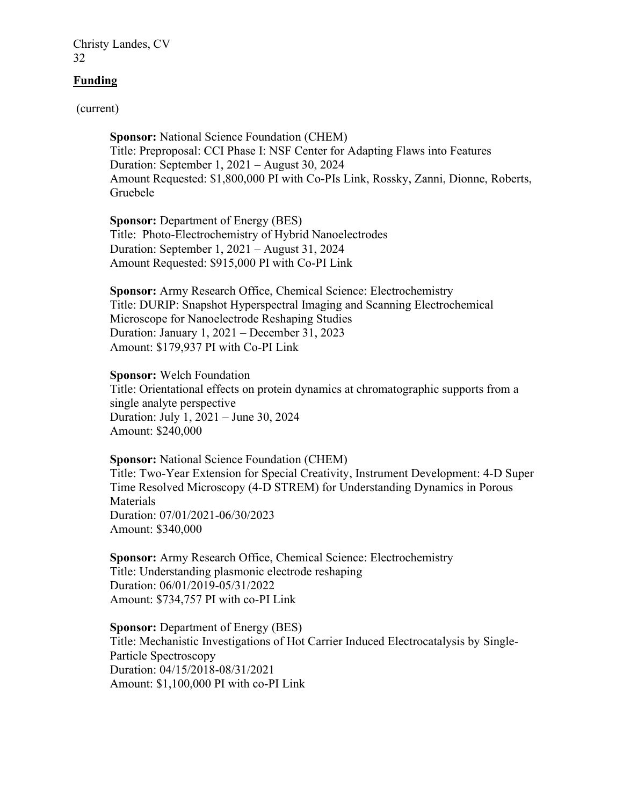## Funding

(current)

Sponsor: National Science Foundation (CHEM) Title: Preproposal: CCI Phase I: NSF Center for Adapting Flaws into Features Duration: September 1, 2021 – August 30, 2024 Amount Requested: \$1,800,000 PI with Co-PIs Link, Rossky, Zanni, Dionne, Roberts, Gruebele

Sponsor: Department of Energy (BES) Title: Photo-Electrochemistry of Hybrid Nanoelectrodes Duration: September 1, 2021 – August 31, 2024 Amount Requested: \$915,000 PI with Co-PI Link

Sponsor: Army Research Office, Chemical Science: Electrochemistry Title: DURIP: Snapshot Hyperspectral Imaging and Scanning Electrochemical Microscope for Nanoelectrode Reshaping Studies Duration: January 1, 2021 – December 31, 2023 Amount: \$179,937 PI with Co-PI Link

Sponsor: Welch Foundation Title: Orientational effects on protein dynamics at chromatographic supports from a single analyte perspective Duration: July 1, 2021 – June 30, 2024 Amount: \$240,000

Sponsor: National Science Foundation (CHEM) Title: Two-Year Extension for Special Creativity, Instrument Development: 4-D Super Time Resolved Microscopy (4-D STREM) for Understanding Dynamics in Porous Materials Duration: 07/01/2021-06/30/2023 Amount: \$340,000

Sponsor: Army Research Office, Chemical Science: Electrochemistry Title: Understanding plasmonic electrode reshaping Duration: 06/01/2019-05/31/2022 Amount: \$734,757 PI with co-PI Link

Sponsor: Department of Energy (BES) Title: Mechanistic Investigations of Hot Carrier Induced Electrocatalysis by Single- Particle Spectroscopy Duration: 04/15/2018-08/31/2021 Amount: \$1,100,000 PI with co-PI Link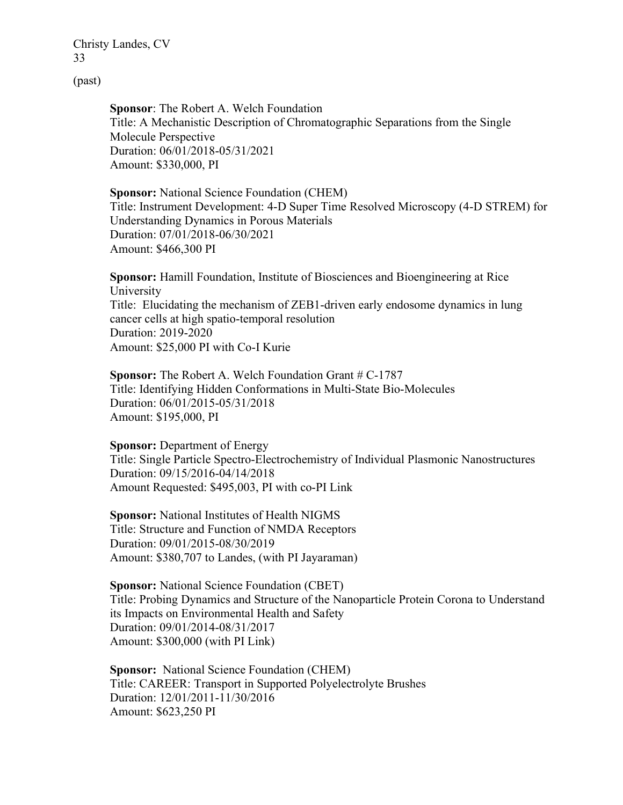(past)

Sponsor: The Robert A. Welch Foundation Title: A Mechanistic Description of Chromatographic Separations from the Single Molecule Perspective Duration: 06/01/2018-05/31/2021 Amount: \$330,000, PI

Sponsor: National Science Foundation (CHEM) Title: Instrument Development: 4-D Super Time Resolved Microscopy (4-D STREM) for Understanding Dynamics in Porous Materials Duration: 07/01/2018-06/30/2021 Amount: \$466,300 PI

Sponsor: Hamill Foundation, Institute of Biosciences and Bioengineering at Rice University Title: Elucidating the mechanism of ZEB1-driven early endosome dynamics in lung cancer cells at high spatio-temporal resolution Duration: 2019-2020 Amount: \$25,000 PI with Co-I Kurie

Sponsor: The Robert A. Welch Foundation Grant # C-1787 Title: Identifying Hidden Conformations in Multi-State Bio-Molecules Duration: 06/01/2015-05/31/2018 Amount: \$195,000, PI

Sponsor: Department of Energy Title: Single Particle Spectro-Electrochemistry of Individual Plasmonic Nanostructures Duration: 09/15/2016-04/14/2018 Amount Requested: \$495,003, PI with co-PI Link

Sponsor: National Institutes of Health NIGMS Title: Structure and Function of NMDA Receptors Duration: 09/01/2015-08/30/2019 Amount: \$380,707 to Landes, (with PI Jayaraman)

Sponsor: National Science Foundation (CBET) Title: Probing Dynamics and Structure of the Nanoparticle Protein Corona to Understand its Impacts on Environmental Health and Safety Duration: 09/01/2014-08/31/2017 Amount: \$300,000 (with PI Link)

Sponsor: National Science Foundation (CHEM) Title: CAREER: Transport in Supported Polyelectrolyte Brushes Duration: 12/01/2011-11/30/2016 Amount: \$623,250 PI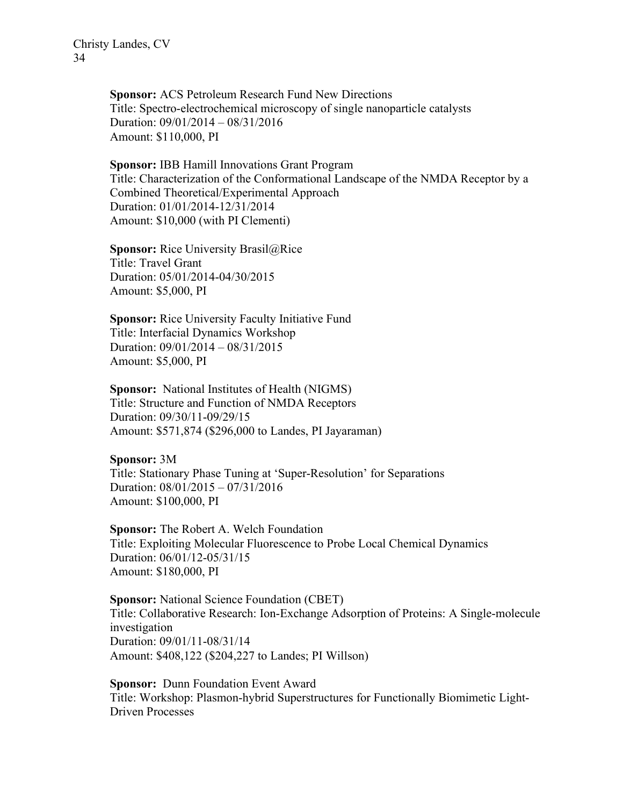Sponsor: ACS Petroleum Research Fund New Directions Title: Spectro-electrochemical microscopy of single nanoparticle catalysts Duration: 09/01/2014 – 08/31/2016 Amount: \$110,000, PI

Sponsor: IBB Hamill Innovations Grant Program Title: Characterization of the Conformational Landscape of the NMDA Receptor by a Combined Theoretical/Experimental Approach Duration: 01/01/2014-12/31/2014 Amount: \$10,000 (with PI Clementi)

**Sponsor:** Rice University Brasil@Rice Title: Travel Grant Duration: 05/01/2014-04/30/2015 Amount: \$5,000, PI

Sponsor: Rice University Faculty Initiative Fund Title: Interfacial Dynamics Workshop Duration: 09/01/2014 – 08/31/2015 Amount: \$5,000, PI

Sponsor: National Institutes of Health (NIGMS) Title: Structure and Function of NMDA Receptors Duration: 09/30/11-09/29/15 Amount: \$571,874 (\$296,000 to Landes, PI Jayaraman)

Sponsor: 3M Title: Stationary Phase Tuning at 'Super-Resolution' for Separations Duration: 08/01/2015 – 07/31/2016 Amount: \$100,000, PI

Sponsor: The Robert A. Welch Foundation Title: Exploiting Molecular Fluorescence to Probe Local Chemical Dynamics Duration: 06/01/12-05/31/15 Amount: \$180,000, PI

Sponsor: National Science Foundation (CBET) Title: Collaborative Research: Ion-Exchange Adsorption of Proteins: A Single-molecule investigation Duration: 09/01/11-08/31/14 Amount: \$408,122 (\$204,227 to Landes; PI Willson)

Sponsor: Dunn Foundation Event Award Title: Workshop: Plasmon-hybrid Superstructures for Functionally Biomimetic Light-Driven Processes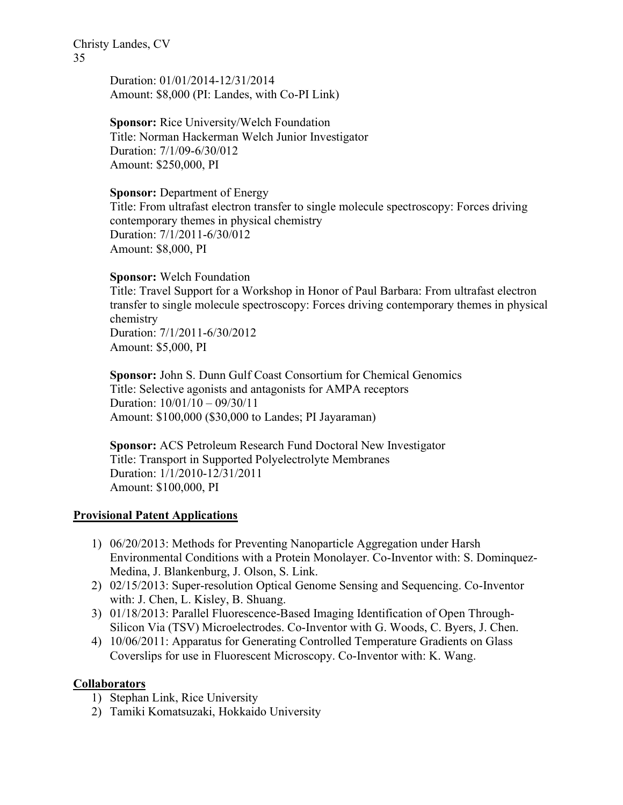> Duration: 01/01/2014-12/31/2014 Amount: \$8,000 (PI: Landes, with Co-PI Link)

Sponsor: Rice University/Welch Foundation Title: Norman Hackerman Welch Junior Investigator Duration: 7/1/09-6/30/012 Amount: \$250,000, PI

Sponsor: Department of Energy Title: From ultrafast electron transfer to single molecule spectroscopy: Forces driving contemporary themes in physical chemistry Duration: 7/1/2011-6/30/012 Amount: \$8,000, PI

Sponsor: Welch Foundation

Title: Travel Support for a Workshop in Honor of Paul Barbara: From ultrafast electron transfer to single molecule spectroscopy: Forces driving contemporary themes in physical chemistry Duration: 7/1/2011-6/30/2012 Amount: \$5,000, PI

Sponsor: John S. Dunn Gulf Coast Consortium for Chemical Genomics Title: Selective agonists and antagonists for AMPA receptors Duration: 10/01/10 – 09/30/11 Amount: \$100,000 (\$30,000 to Landes; PI Jayaraman)

Sponsor: ACS Petroleum Research Fund Doctoral New Investigator Title: Transport in Supported Polyelectrolyte Membranes Duration: 1/1/2010-12/31/2011 Amount: \$100,000, PI

### Provisional Patent Applications

- 1) 06/20/2013: Methods for Preventing Nanoparticle Aggregation under Harsh Environmental Conditions with a Protein Monolayer. Co-Inventor with: S. Dominquez-Medina, J. Blankenburg, J. Olson, S. Link.
- 2) 02/15/2013: Super-resolution Optical Genome Sensing and Sequencing. Co-Inventor with: J. Chen, L. Kisley, B. Shuang.
- 3) 01/18/2013: Parallel Fluorescence-Based Imaging Identification of Open Through-Silicon Via (TSV) Microelectrodes. Co-Inventor with G. Woods, C. Byers, J. Chen.
- 4) 10/06/2011: Apparatus for Generating Controlled Temperature Gradients on Glass Coverslips for use in Fluorescent Microscopy. Co-Inventor with: K. Wang.

## Collaborators

- 1) Stephan Link, Rice University
- 2) Tamiki Komatsuzaki, Hokkaido University